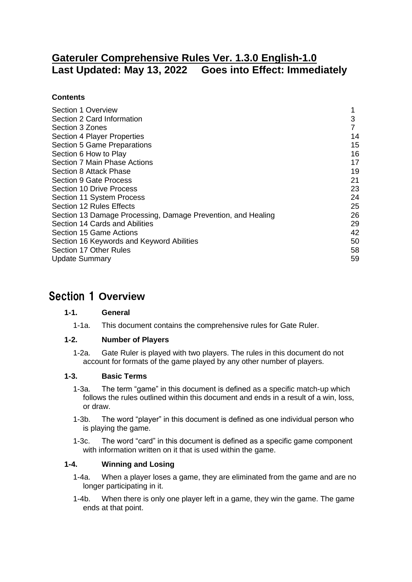# **Gateruler Comprehensive Rules Ver. 1.3.0 English-1.0 Last Updated: May 13, 2022 Goes into Effect: Immediately**

# **Contents**

| Section 1 Overview                                           |    |
|--------------------------------------------------------------|----|
| Section 2 Card Information                                   | 3  |
| Section 3 Zones                                              |    |
| Section 4 Player Properties                                  | 14 |
| Section 5 Game Preparations                                  | 15 |
| Section 6 How to Play                                        | 16 |
| Section 7 Main Phase Actions                                 | 17 |
| Section 8 Attack Phase                                       | 19 |
| Section 9 Gate Process                                       | 21 |
| Section 10 Drive Process                                     | 23 |
| Section 11 System Process                                    | 24 |
| Section 12 Rules Effects                                     | 25 |
| Section 13 Damage Processing, Damage Prevention, and Healing | 26 |
| Section 14 Cards and Abilities                               | 29 |
| Section 15 Game Actions                                      | 42 |
| Section 16 Keywords and Keyword Abilities                    | 50 |
| Section 17 Other Rules                                       | 58 |
| <b>Update Summary</b>                                        | 59 |

# <span id="page-0-0"></span>Section 1 **Overview**

# **1-1. General**

1-1a. This document contains the comprehensive rules for Gate Ruler.

# **1-2. Number of Players**

1-2a. Gate Ruler is played with two players. The rules in this document do not account for formats of the game played by any other number of players.

### **1-3. Basic Terms**

- 1-3a. The term "game" in this document is defined as a specific match-up which follows the rules outlined within this document and ends in a result of a win, loss, or draw.
- 1-3b. The word "player" in this document is defined as one individual person who is playing the game.
- 1-3c. The word "card" in this document is defined as a specific game component with information written on it that is used within the game.

# **1-4. Winning and Losing**

- 1-4a. When a player loses a game, they are eliminated from the game and are no longer participating in it.
- 1-4b. When there is only one player left in a game, they win the game. The game ends at that point.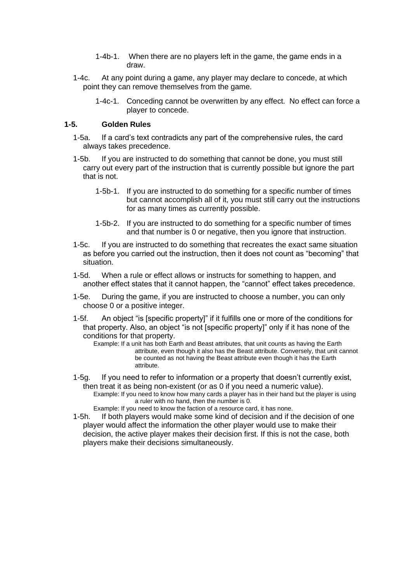- 1-4b-1. When there are no players left in the game, the game ends in a draw.
- 1-4c. At any point during a game, any player may declare to concede, at which point they can remove themselves from the game.
	- 1-4c-1. Conceding cannot be overwritten by any effect. No effect can force a player to concede.

#### **1-5. Golden Rules**

- 1-5a. If a card's text contradicts any part of the comprehensive rules, the card always takes precedence.
- 1-5b. If you are instructed to do something that cannot be done, you must still carry out every part of the instruction that is currently possible but ignore the part that is not.
	- 1-5b-1. If you are instructed to do something for a specific number of times but cannot accomplish all of it, you must still carry out the instructions for as many times as currently possible.
	- 1-5b-2. If you are instructed to do something for a specific number of times and that number is 0 or negative, then you ignore that instruction.
- 1-5c. If you are instructed to do something that recreates the exact same situation as before you carried out the instruction, then it does not count as "becoming" that situation.
- 1-5d. When a rule or effect allows or instructs for something to happen, and another effect states that it cannot happen, the "cannot" effect takes precedence.
- 1-5e. During the game, if you are instructed to choose a number, you can only choose 0 or a positive integer.
- 1-5f. An object "is [specific property]" if it fulfills one or more of the conditions for that property. Also, an object "is not [specific property]" only if it has none of the conditions for that property.
	- Example: If a unit has both Earth and Beast attributes, that unit counts as having the Earth attribute, even though it also has the Beast attribute. Conversely, that unit cannot be counted as not having the Beast attribute even though it has the Earth attribute.
- 1-5g. If you need to refer to information or a property that doesn't currently exist, then treat it as being non-existent (or as 0 if you need a numeric value). Example: If you need to know how many cards a player has in their hand but the player is using a ruler with no hand, then the number is 0. Example: If you need to know the faction of a resource card, it has none.
- 1-5h. If both players would make some kind of decision and if the decision of one player would affect the information the other player would use to make their decision, the active player makes their decision first. If this is not the case, both players make their decisions simultaneously.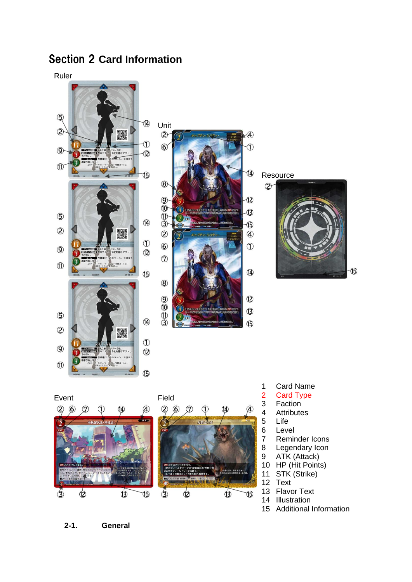# <span id="page-2-0"></span>Section 2 **Card Information**

Ruler





Resource





 Card Name Card Type 3 Faction<br>4 Attribute 4 Attributes<br>5 Life Life 6 Level Reminder Icons Legendary Icon ATK (Attack) HP (Hit Points) STK (Strike) 12 Text Flavor Text Illustration

**B** 

15 Additional Information

**2-1. General**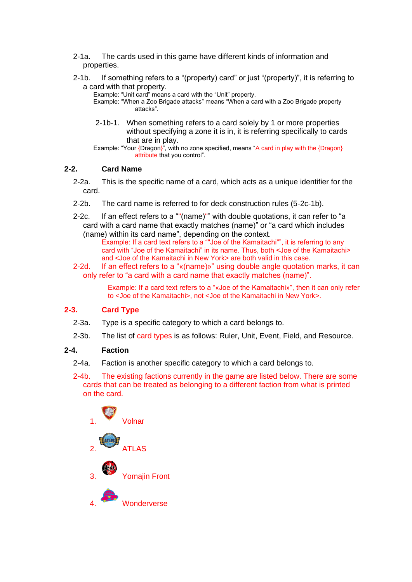- 2-1a. The cards used in this game have different kinds of information and properties.
- 2-1b. If something refers to a "(property) card" or just "(property)", it is referring to a card with that property.

Example: "Unit card" means a card with the "Unit" property.

Example: "When a Zoo Brigade attacks" means "When a card with a Zoo Brigade property attacks".

2-1b-1. When something refers to a card solely by 1 or more properties without specifying a zone it is in, it is referring specifically to cards that are in play.

Example: "Your {Dragon}", with no zone specified, means "A card in play with the {Dragon} attribute that you control".

### **2-2. Card Name**

- 2-2a. This is the specific name of a card, which acts as a unique identifier for the card.
- 2-2b. The card name is referred to for deck construction rules (5-2c-1b).
- 2-2c. If an effect refers to a ""(name)"" with double quotations, it can refer to "a card with a card name that exactly matches (name)" or "a card which includes (name) within its card name", depending on the context.

Example: If a card text refers to a ""Joe of the Kamaitachi"", it is referring to any card with "Joe of the Kamaitachi" in its name. Thus, both <Joe of the Kamaitachi> and <Joe of the Kamaitachi in New York> are both valid in this case.

2-2d. If an effect refers to a "«(name)»" using double angle quotation marks, it can only refer to "a card with a card name that exactly matches (name)".

> Example: If a card text refers to a "«Joe of the Kamaitachi»", then it can only refer to <Joe of the Kamaitachi>, not <Joe of the Kamaitachi in New York>.

# **2-3. Card Type**

- 2-3a. Type is a specific category to which a card belongs to.
- 2-3b. The list of card types is as follows: Ruler, Unit, Event, Field, and Resource.

### **2-4. Faction**

- 2-4a. Faction is another specific category to which a card belongs to.
- 2-4b. The existing factions currently in the game are listed below. There are some cards that can be treated as belonging to a different faction from what is printed on the card.

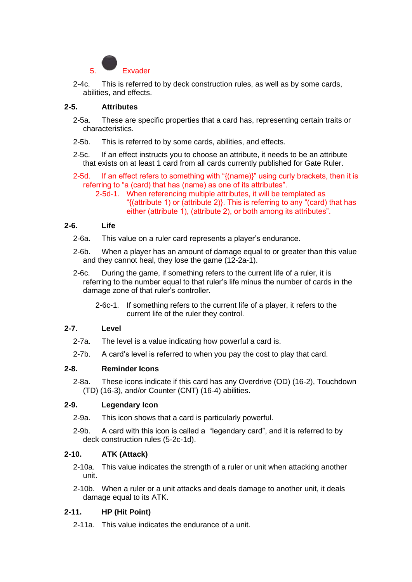

2-4c. This is referred to by deck construction rules, as well as by some cards, abilities, and effects.

### **2-5. Attributes**

- 2-5a. These are specific properties that a card has, representing certain traits or characteristics.
- 2-5b. This is referred to by some cards, abilities, and effects.
- 2-5c. If an effect instructs you to choose an attribute, it needs to be an attribute that exists on at least 1 card from all cards currently published for Gate Ruler.
- 2-5d. If an effect refers to something with "{(name)}" using curly brackets, then it is referring to "a (card) that has (name) as one of its attributes".
	- 2-5d-1. When referencing multiple attributes, it will be templated as "{(attribute 1) or (attribute 2)}. This is referring to any "(card) that has either (attribute 1), (attribute 2), or both among its attributes".

#### **2-6. Life**

- 2-6a. This value on a ruler card represents a player's endurance.
- 2-6b. When a player has an amount of damage equal to or greater than this value and they cannot heal, they lose the game (12-2a-1).
- 2-6c. During the game, if something refers to the current life of a ruler, it is referring to the number equal to that ruler's life minus the number of cards in the damage zone of that ruler's controller.
	- 2-6c-1. If something refers to the current life of a player, it refers to the current life of the ruler they control.

#### **2-7. Level**

- 2-7a. The level is a value indicating how powerful a card is.
- 2-7b. A card's level is referred to when you pay the cost to play that card.

### **2-8. Reminder Icons**

2-8a. These icons indicate if this card has any Overdrive (OD) (16-2), Touchdown (TD) (16-3), and/or Counter (CNT) (16-4) abilities.

### **2-9. Legendary Icon**

- 2-9a. This icon shows that a card is particularly powerful.
- 2-9b. A card with this icon is called a "legendary card", and it is referred to by deck construction rules (5-2c-1d).

### **2-10. ATK (Attack)**

- 2-10a. This value indicates the strength of a ruler or unit when attacking another unit.
- 2-10b. When a ruler or a unit attacks and deals damage to another unit, it deals damage equal to its ATK.

### **2-11. HP (Hit Point)**

2-11a. This value indicates the endurance of a unit.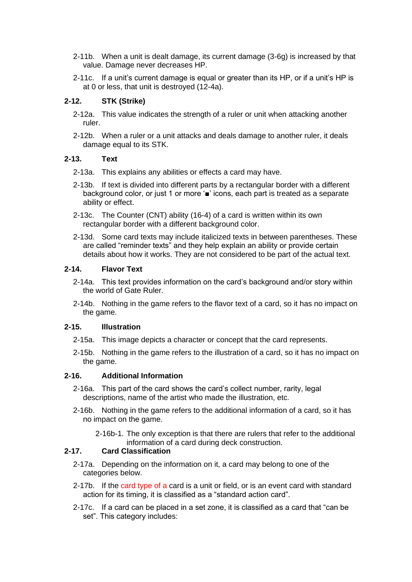- 2-11b. When a unit is dealt damage, its current damage (3-6g) is increased by that value. Damage never decreases HP.
- 2-11c. If a unit's current damage is equal or greater than its HP, or if a unit's HP is at 0 or less, that unit is destroyed (12-4a).

## **2-12. STK (Strike)**

- 2-12a. This value indicates the strength of a ruler or unit when attacking another ruler.
- 2-12b. When a ruler or a unit attacks and deals damage to another ruler, it deals damage equal to its STK.

### **2-13. Text**

- 2-13a. This explains any abilities or effects a card may have.
- 2-13b. If text is divided into different parts by a rectangular border with a different background color, or just 1 or more '■' icons, each part is treated as a separate ability or effect.
- 2-13c. The Counter (CNT) ability (16-4) of a card is written within its own rectangular border with a different background color.
- 2-13d. Some card texts may include italicized texts in between parentheses. These are called "reminder texts" and they help explain an ability or provide certain details about how it works. They are not considered to be part of the actual text.

# **2-14. Flavor Text**

- 2-14a. This text provides information on the card's background and/or story within the world of Gate Ruler.
- 2-14b. Nothing in the game refers to the flavor text of a card, so it has no impact on the game.

### **2-15. Illustration**

- 2-15a. This image depicts a character or concept that the card represents.
- 2-15b. Nothing in the game refers to the illustration of a card, so it has no impact on the game.

## **2-16. Additional Information**

- 2-16a. This part of the card shows the card's collect number, rarity, legal descriptions, name of the artist who made the illustration, etc.
- 2-16b. Nothing in the game refers to the additional information of a card, so it has no impact on the game.
	- 2-16b-1. The only exception is that there are rulers that refer to the additional information of a card during deck construction.

# **2-17. Card Classification**

- 2-17a. Depending on the information on it, a card may belong to one of the categories below.
- 2-17b. If the card type of a card is a unit or field, or is an event card with standard action for its timing, it is classified as a "standard action card".
- 2-17c. If a card can be placed in a set zone, it is classified as a card that "can be set". This category includes: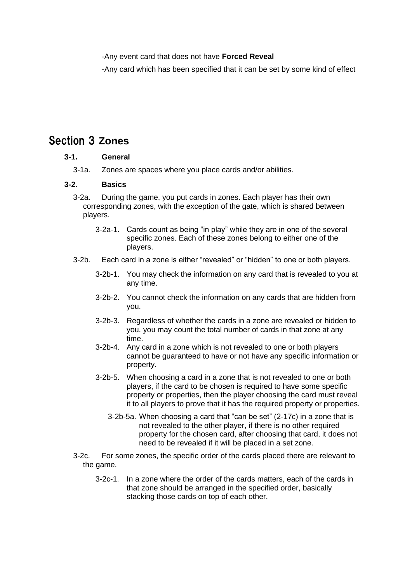-Any event card that does not have **Forced Reveal**

-Any card which has been specified that it can be set by some kind of effect

# <span id="page-6-0"></span>Section 3 **Zones**

### **3-1. General**

3-1a. Zones are spaces where you place cards and/or abilities.

### **3-2. Basics**

- 3-2a. During the game, you put cards in zones. Each player has their own corresponding zones, with the exception of the gate, which is shared between players.
	- 3-2a-1. Cards count as being "in play" while they are in one of the several specific zones. Each of these zones belong to either one of the players.
- 3-2b. Each card in a zone is either "revealed" or "hidden" to one or both players.
	- 3-2b-1. You may check the information on any card that is revealed to you at any time.
	- 3-2b-2. You cannot check the information on any cards that are hidden from you.
	- 3-2b-3. Regardless of whether the cards in a zone are revealed or hidden to you, you may count the total number of cards in that zone at any time.
	- 3-2b-4. Any card in a zone which is not revealed to one or both players cannot be guaranteed to have or not have any specific information or property.
	- 3-2b-5. When choosing a card in a zone that is not revealed to one or both players, if the card to be chosen is required to have some specific property or properties, then the player choosing the card must reveal it to all players to prove that it has the required property or properties.
		- 3-2b-5a. When choosing a card that "can be set" (2-17c) in a zone that is not revealed to the other player, if there is no other required property for the chosen card, after choosing that card, it does not need to be revealed if it will be placed in a set zone.
- 3-2c. For some zones, the specific order of the cards placed there are relevant to the game.
	- 3-2c-1. In a zone where the order of the cards matters, each of the cards in that zone should be arranged in the specified order, basically stacking those cards on top of each other.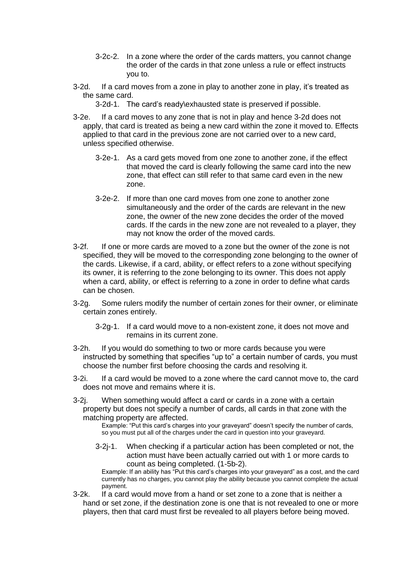- 3-2c-2. In a zone where the order of the cards matters, you cannot change the order of the cards in that zone unless a rule or effect instructs you to.
- 3-2d. If a card moves from a zone in play to another zone in play, it's treated as the same card.
	- 3-2d-1. The card's ready\exhausted state is preserved if possible.
- 3-2e. If a card moves to any zone that is not in play and hence 3-2d does not apply, that card is treated as being a new card within the zone it moved to. Effects applied to that card in the previous zone are not carried over to a new card, unless specified otherwise.
	- 3-2e-1. As a card gets moved from one zone to another zone, if the effect that moved the card is clearly following the same card into the new zone, that effect can still refer to that same card even in the new zone.
	- 3-2e-2. If more than one card moves from one zone to another zone simultaneously and the order of the cards are relevant in the new zone, the owner of the new zone decides the order of the moved cards. If the cards in the new zone are not revealed to a player, they may not know the order of the moved cards.
- 3-2f. If one or more cards are moved to a zone but the owner of the zone is not specified, they will be moved to the corresponding zone belonging to the owner of the cards. Likewise, if a card, ability, or effect refers to a zone without specifying its owner, it is referring to the zone belonging to its owner. This does not apply when a card, ability, or effect is referring to a zone in order to define what cards can be chosen.
- 3-2g. Some rulers modify the number of certain zones for their owner, or eliminate certain zones entirely.
	- 3-2g-1. If a card would move to a non-existent zone, it does not move and remains in its current zone.
- 3-2h. If you would do something to two or more cards because you were instructed by something that specifies "up to" a certain number of cards, you must choose the number first before choosing the cards and resolving it.
- 3-2i. If a card would be moved to a zone where the card cannot move to, the card does not move and remains where it is.
- 3-2j. When something would affect a card or cards in a zone with a certain property but does not specify a number of cards, all cards in that zone with the matching property are affected.

Example: "Put this card's charges into your graveyard" doesn't specify the number of cards, so you must put all of the charges under the card in question into your graveyard.

3-2j-1. When checking if a particular action has been completed or not, the action must have been actually carried out with 1 or more cards to count as being completed. (1-5b-2).

Example: If an ability has "Put this card's charges into your graveyard" as a cost, and the card currently has no charges, you cannot play the ability because you cannot complete the actual payment.

3-2k. If a card would move from a hand or set zone to a zone that is neither a hand or set zone, if the destination zone is one that is not revealed to one or more players, then that card must first be revealed to all players before being moved.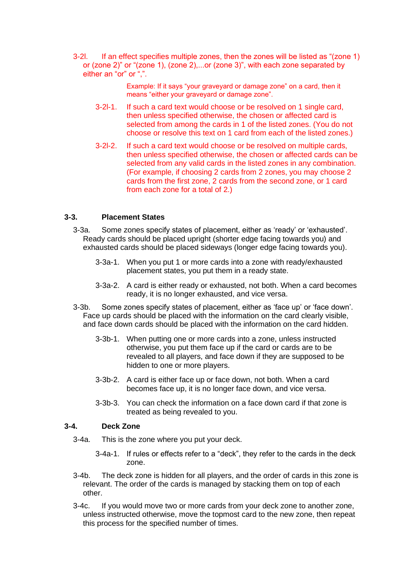3-2l. If an effect specifies multiple zones, then the zones will be listed as "(zone 1) or (zone 2)" or "(zone 1), (zone 2),...or (zone 3)", with each zone separated by either an "or" or ",".

> Example: If it says "your graveyard or damage zone" on a card, then it means "either your graveyard or damage zone".

- 3-2l-1. If such a card text would choose or be resolved on 1 single card, then unless specified otherwise, the chosen or affected card is selected from among the cards in 1 of the listed zones. (You do not choose or resolve this text on 1 card from each of the listed zones.)
- 3-2l-2. If such a card text would choose or be resolved on multiple cards, then unless specified otherwise, the chosen or affected cards can be selected from any valid cards in the listed zones in any combination. (For example, if choosing 2 cards from 2 zones, you may choose 2 cards from the first zone, 2 cards from the second zone, or 1 card from each zone for a total of 2.)

# **3-3. Placement States**

- 3-3a. Some zones specify states of placement, either as 'ready' or 'exhausted'. Ready cards should be placed upright (shorter edge facing towards you) and exhausted cards should be placed sideways (longer edge facing towards you).
	- 3-3a-1. When you put 1 or more cards into a zone with ready/exhausted placement states, you put them in a ready state.
	- 3-3a-2. A card is either ready or exhausted, not both. When a card becomes ready, it is no longer exhausted, and vice versa.
- 3-3b. Some zones specify states of placement, either as 'face up' or 'face down'. Face up cards should be placed with the information on the card clearly visible, and face down cards should be placed with the information on the card hidden.
	- 3-3b-1. When putting one or more cards into a zone, unless instructed otherwise, you put them face up if the card or cards are to be revealed to all players, and face down if they are supposed to be hidden to one or more players.
	- 3-3b-2. A card is either face up or face down, not both. When a card becomes face up, it is no longer face down, and vice versa.
	- 3-3b-3. You can check the information on a face down card if that zone is treated as being revealed to you.

### **3-4. Deck Zone**

- 3-4a. This is the zone where you put your deck.
	- 3-4a-1. If rules or effects refer to a "deck", they refer to the cards in the deck zone.
- 3-4b. The deck zone is hidden for all players, and the order of cards in this zone is relevant. The order of the cards is managed by stacking them on top of each other.
- 3-4c. If you would move two or more cards from your deck zone to another zone, unless instructed otherwise, move the topmost card to the new zone, then repeat this process for the specified number of times.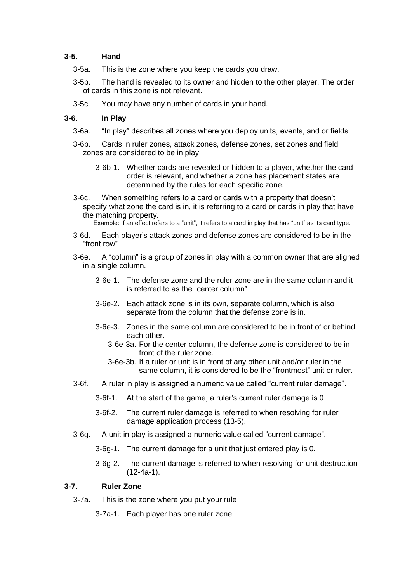#### **3-5. Hand**

- 3-5a. This is the zone where you keep the cards you draw.
- 3-5b. The hand is revealed to its owner and hidden to the other player. The order of cards in this zone is not relevant.
- 3-5c. You may have any number of cards in your hand.

#### **3-6. In Play**

- 3-6a. "In play" describes all zones where you deploy units, events, and or fields.
- 3-6b. Cards in ruler zones, attack zones, defense zones, set zones and field zones are considered to be in play.
	- 3-6b-1. Whether cards are revealed or hidden to a player, whether the card order is relevant, and whether a zone has placement states are determined by the rules for each specific zone.
- 3-6c. When something refers to a card or cards with a property that doesn't specify what zone the card is in, it is referring to a card or cards in play that have the matching property.

Example: If an effect refers to a "unit", it refers to a card in play that has "unit" as its card type.

- 3-6d. Each player's attack zones and defense zones are considered to be in the "front row".
- 3-6e. A "column" is a group of zones in play with a common owner that are aligned in a single column.
	- 3-6e-1. The defense zone and the ruler zone are in the same column and it is referred to as the "center column".
	- 3-6e-2. Each attack zone is in its own, separate column, which is also separate from the column that the defense zone is in.
	- 3-6e-3. Zones in the same column are considered to be in front of or behind each other.
		- 3-6e-3a. For the center column, the defense zone is considered to be in front of the ruler zone.
		- 3-6e-3b. If a ruler or unit is in front of any other unit and/or ruler in the same column, it is considered to be the "frontmost" unit or ruler.
- 3-6f. A ruler in play is assigned a numeric value called "current ruler damage".
	- 3-6f-1. At the start of the game, a ruler's current ruler damage is 0.
	- 3-6f-2. The current ruler damage is referred to when resolving for ruler damage application process (13-5).
- 3-6g. A unit in play is assigned a numeric value called "current damage".
	- 3-6g-1. The current damage for a unit that just entered play is 0.
	- 3-6g-2. The current damage is referred to when resolving for unit destruction (12-4a-1).

### **3-7. Ruler Zone**

- 3-7a. This is the zone where you put your rule
	- 3-7a-1. Each player has one ruler zone.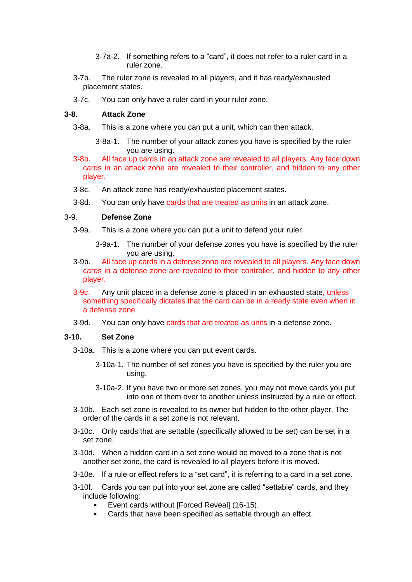- 3-7a-2. If something refers to a "card", it does not refer to a ruler card in a ruler zone.
- 3-7b. The ruler zone is revealed to all players, and it has ready/exhausted placement states.
- 3-7c. You can only have a ruler card in your ruler zone.

#### **3-8. Attack Zone**

- 3-8a. This is a zone where you can put a unit, which can then attack.
	- 3-8a-1. The number of your attack zones you have is specified by the ruler you are using.
- 3-8b. All face up cards in an attack zone are revealed to all players. Any face down cards in an attack zone are revealed to their controller, and hidden to any other player.
- 3-8c. An attack zone has ready/exhausted placement states.
- 3-8d. You can only have cards that are treated as units in an attack zone.

## 3-9. **Defense Zone**

- 3-9a. This is a zone where you can put a unit to defend your ruler.
	- 3-9a-1. The number of your defense zones you have is specified by the ruler you are using.
- 3-9b. All face up cards in a defense zone are revealed to all players. Any face down cards in a defense zone are revealed to their controller, and hidden to any other player.
- 3-9c. Any unit placed in a defense zone is placed in an exhausted state, unless something specifically dictates that the card can be in a ready state even when in a defense zone.
- 3-9d. You can only have cards that are treated as units in a defense zone.

#### **3-10. Set Zone**

- 3-10a. This is a zone where you can put event cards.
	- 3-10a-1. The number of set zones you have is specified by the ruler you are using.
	- 3-10a-2. If you have two or more set zones, you may not move cards you put into one of them over to another unless instructed by a rule or effect.
- 3-10b. Each set zone is revealed to its owner but hidden to the other player. The order of the cards in a set zone is not relevant.
- 3-10c. Only cards that are settable (specifically allowed to be set) can be set in a set zone.
- 3-10d. When a hidden card in a set zone would be moved to a zone that is not another set zone, the card is revealed to all players before it is moved.
- 3-10e. If a rule or effect refers to a "set card", it is referring to a card in a set zone.
- 3-10f. Cards you can put into your set zone are called "settable" cards, and they include following:
	- Event cards without [Forced Reveal] (16-15).
	- Cards that have been specified as settable through an effect.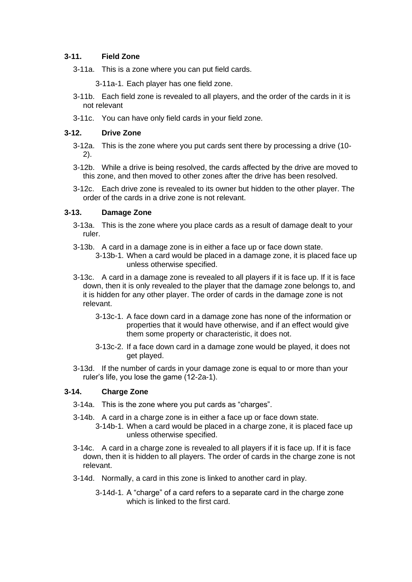## **3-11. Field Zone**

- 3-11a. This is a zone where you can put field cards.
	- 3-11a-1. Each player has one field zone.
- 3-11b. Each field zone is revealed to all players, and the order of the cards in it is not relevant
- 3-11c. You can have only field cards in your field zone.

#### **3-12. Drive Zone**

- 3-12a. This is the zone where you put cards sent there by processing a drive (10- 2).
- 3-12b. While a drive is being resolved, the cards affected by the drive are moved to this zone, and then moved to other zones after the drive has been resolved.
- 3-12c. Each drive zone is revealed to its owner but hidden to the other player. The order of the cards in a drive zone is not relevant.

### **3-13. Damage Zone**

- 3-13a. This is the zone where you place cards as a result of damage dealt to your ruler.
- 3-13b. A card in a damage zone is in either a face up or face down state.
	- 3-13b-1. When a card would be placed in a damage zone, it is placed face up unless otherwise specified.
- 3-13c. A card in a damage zone is revealed to all players if it is face up. If it is face down, then it is only revealed to the player that the damage zone belongs to, and it is hidden for any other player. The order of cards in the damage zone is not relevant.
	- 3-13c-1. A face down card in a damage zone has none of the information or properties that it would have otherwise, and if an effect would give them some property or characteristic, it does not.
	- 3-13c-2. If a face down card in a damage zone would be played, it does not get played.
- 3-13d. If the number of cards in your damage zone is equal to or more than your ruler's life, you lose the game (12-2a-1).

### **3-14. Charge Zone**

- 3-14a. This is the zone where you put cards as "charges".
- 3-14b. A card in a charge zone is in either a face up or face down state.
	- 3-14b-1. When a card would be placed in a charge zone, it is placed face up unless otherwise specified.
- 3-14c. A card in a charge zone is revealed to all players if it is face up. If it is face down, then it is hidden to all players. The order of cards in the charge zone is not relevant.
- 3-14d. Normally, a card in this zone is linked to another card in play.
	- 3-14d-1. A "charge" of a card refers to a separate card in the charge zone which is linked to the first card.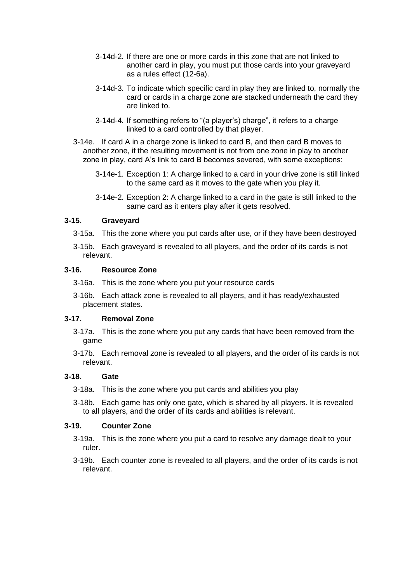- 3-14d-2. If there are one or more cards in this zone that are not linked to another card in play, you must put those cards into your graveyard as a rules effect (12-6a).
- 3-14d-3. To indicate which specific card in play they are linked to, normally the card or cards in a charge zone are stacked underneath the card they are linked to.
- 3-14d-4. If something refers to "(a player's) charge", it refers to a charge linked to a card controlled by that player.
- 3-14e. If card A in a charge zone is linked to card B, and then card B moves to another zone, if the resulting movement is not from one zone in play to another zone in play, card A's link to card B becomes severed, with some exceptions:
	- 3-14e-1. Exception 1: A charge linked to a card in your drive zone is still linked to the same card as it moves to the gate when you play it.
	- 3-14e-2. Exception 2: A charge linked to a card in the gate is still linked to the same card as it enters play after it gets resolved.

### **3-15. Graveyard**

- 3-15a. This the zone where you put cards after use, or if they have been destroyed
- 3-15b. Each graveyard is revealed to all players, and the order of its cards is not relevant.

#### **3-16. Resource Zone**

- 3-16a. This is the zone where you put your resource cards
- 3-16b. Each attack zone is revealed to all players, and it has ready/exhausted placement states.

#### **3-17. Removal Zone**

- 3-17a. This is the zone where you put any cards that have been removed from the game
- 3-17b. Each removal zone is revealed to all players, and the order of its cards is not relevant.

#### **3-18. Gate**

- 3-18a. This is the zone where you put cards and abilities you play
- 3-18b. Each game has only one gate, which is shared by all players. It is revealed to all players, and the order of its cards and abilities is relevant.

### **3-19. Counter Zone**

- 3-19a. This is the zone where you put a card to resolve any damage dealt to your ruler.
- 3-19b. Each counter zone is revealed to all players, and the order of its cards is not relevant.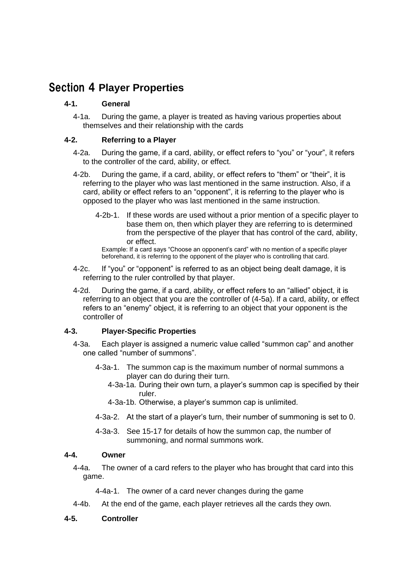# <span id="page-13-0"></span>Section 4 **Player Properties**

## **4-1. General**

4-1a. During the game, a player is treated as having various properties about themselves and their relationship with the cards

# **4-2. Referring to a Player**

- 4-2a. During the game, if a card, ability, or effect refers to "you" or "your", it refers to the controller of the card, ability, or effect.
- 4-2b. During the game, if a card, ability, or effect refers to "them" or "their", it is referring to the player who was last mentioned in the same instruction. Also, if a card, ability or effect refers to an "opponent", it is referring to the player who is opposed to the player who was last mentioned in the same instruction.
	- 4-2b-1. If these words are used without a prior mention of a specific player to base them on, then which player they are referring to is determined from the perspective of the player that has control of the card, ability, or effect.

Example: If a card says "Choose an opponent's card" with no mention of a specific player beforehand, it is referring to the opponent of the player who is controlling that card.

- 4-2c. If "you" or "opponent" is referred to as an object being dealt damage, it is referring to the ruler controlled by that player.
- 4-2d. During the game, if a card, ability, or effect refers to an "allied" object, it is referring to an object that you are the controller of (4-5a). If a card, ability, or effect refers to an "enemy" object, it is referring to an object that your opponent is the controller of

# **4-3. Player-Specific Properties**

- 4-3a. Each player is assigned a numeric value called "summon cap" and another one called "number of summons".
	- 4-3a-1. The summon cap is the maximum number of normal summons a player can do during their turn.
		- 4-3a-1a. During their own turn, a player's summon cap is specified by their ruler.
		- 4-3a-1b. Otherwise, a player's summon cap is unlimited.
	- 4-3a-2. At the start of a player's turn, their number of summoning is set to 0.
	- 4-3a-3. See 15-17 for details of how the summon cap, the number of summoning, and normal summons work.

### **4-4. Owner**

4-4a. The owner of a card refers to the player who has brought that card into this game.

4-4a-1. The owner of a card never changes during the game

4-4b. At the end of the game, each player retrieves all the cards they own.

### **4-5. Controller**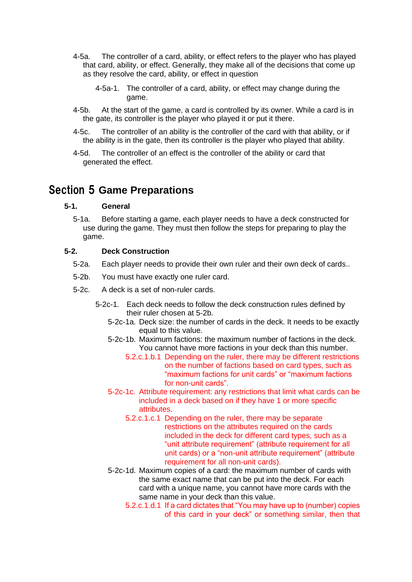- 4-5a. The controller of a card, ability, or effect refers to the player who has played that card, ability, or effect. Generally, they make all of the decisions that come up as they resolve the card, ability, or effect in question
	- 4-5a-1. The controller of a card, ability, or effect may change during the game.
- 4-5b. At the start of the game, a card is controlled by its owner. While a card is in the gate, its controller is the player who played it or put it there.
- 4-5c. The controller of an ability is the controller of the card with that ability, or if the ability is in the gate, then its controller is the player who played that ability.
- 4-5d. The controller of an effect is the controller of the ability or card that generated the effect.

# <span id="page-14-0"></span>Section 5 **Game Preparations**

### **5-1. General**

5-1a. Before starting a game, each player needs to have a deck constructed for use during the game. They must then follow the steps for preparing to play the game.

### **5-2. Deck Construction**

- 5-2a. Each player needs to provide their own ruler and their own deck of cards..
- 5-2b. You must have exactly one ruler card.
- 5-2c. A deck is a set of non-ruler cards.
	- 5-2c-1. Each deck needs to follow the deck construction rules defined by their ruler chosen at 5-2b.
		- 5-2c-1a. Deck size: the number of cards in the deck. It needs to be exactly equal to this value.
		- 5-2c-1b. Maximum factions: the maximum number of factions in the deck. You cannot have more factions in your deck than this number.
			- 5.2.c.1.b.1 Depending on the ruler, there may be different restrictions on the number of factions based on card types, such as "maximum factions for unit cards" or "maximum factions for non-unit cards".
		- 5-2c-1c. Attribute requirement: any restrictions that limit what cards can be included in a deck based on if they have 1 or more specific attributes.
			- 5.2.c.1.c.1 Depending on the ruler, there may be separate restrictions on the attributes required on the cards included in the deck for different card types, such as a "unit attribute requirement" (attribute requirement for all unit cards) or a "non-unit attribute requirement" (attribute requirement for all non-unit cards).
		- 5-2c-1d. Maximum copies of a card: the maximum number of cards with the same exact name that can be put into the deck. For each card with a unique name, you cannot have more cards with the same name in your deck than this value.
			- 5.2.c.1.d.1 If a card dictates that "You may have up to (number) copies of this card in your deck" or something similar, then that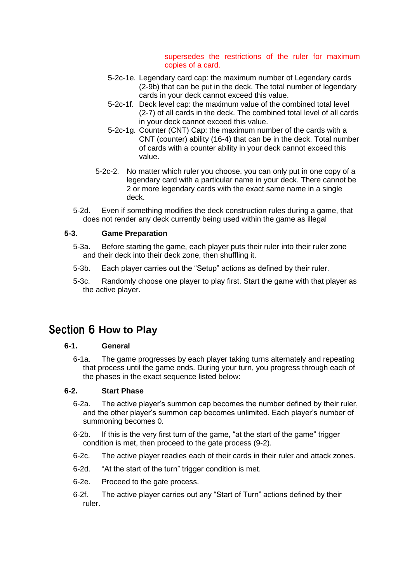#### supersedes the restrictions of the ruler for maximum copies of a card.

- 5-2c-1e. Legendary card cap: the maximum number of Legendary cards (2-9b) that can be put in the deck. The total number of legendary cards in your deck cannot exceed this value.
- 5-2c-1f. Deck level cap: the maximum value of the combined total level (2-7) of all cards in the deck. The combined total level of all cards in your deck cannot exceed this value.
- 5-2c-1g. Counter (CNT) Cap: the maximum number of the cards with a CNT (counter) ability (16-4) that can be in the deck. Total number of cards with a counter ability in your deck cannot exceed this value.
- 5-2c-2. No matter which ruler you choose, you can only put in one copy of a legendary card with a particular name in your deck. There cannot be 2 or more legendary cards with the exact same name in a single deck.
- 5-2d. Even if something modifies the deck construction rules during a game, that does not render any deck currently being used within the game as illegal

# **5-3. Game Preparation**

- 5-3a. Before starting the game, each player puts their ruler into their ruler zone and their deck into their deck zone, then shuffling it.
- 5-3b. Each player carries out the "Setup" actions as defined by their ruler.
- 5-3c. Randomly choose one player to play first. Start the game with that player as the active player.

# <span id="page-15-0"></span>Section 6 **How to Play**

## **6-1. General**

6-1a. The game progresses by each player taking turns alternately and repeating that process until the game ends. During your turn, you progress through each of the phases in the exact sequence listed below:

# **6-2. Start Phase**

- 6-2a. The active player's summon cap becomes the number defined by their ruler, and the other player's summon cap becomes unlimited. Each player's number of summoning becomes 0.
- 6-2b. If this is the very first turn of the game, "at the start of the game" trigger condition is met, then proceed to the gate process (9-2).
- 6-2c. The active player readies each of their cards in their ruler and attack zones.
- 6-2d. "At the start of the turn" trigger condition is met.
- 6-2e. Proceed to the gate process.
- 6-2f. The active player carries out any "Start of Turn" actions defined by their ruler.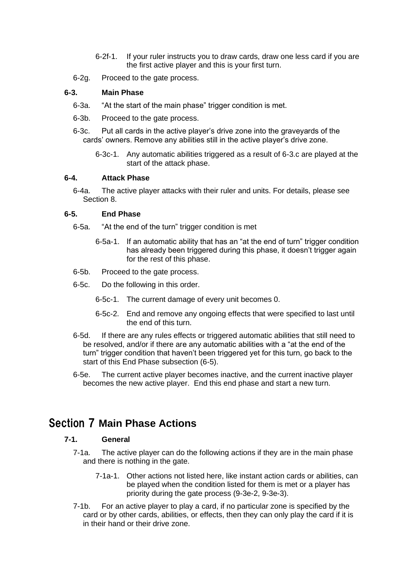- 6-2f-1. If your ruler instructs you to draw cards, draw one less card if you are the first active player and this is your first turn.
- 6-2g. Proceed to the gate process.

### **6-3. Main Phase**

- 6-3a. "At the start of the main phase" trigger condition is met.
- 6-3b. Proceed to the gate process.
- 6-3c. Put all cards in the active player's drive zone into the graveyards of the cards' owners. Remove any abilities still in the active player's drive zone.
	- 6-3c-1. Any automatic abilities triggered as a result of 6-3.c are played at the start of the attack phase.

#### **6-4. Attack Phase**

6-4a. The active player attacks with their ruler and units. For details, please see Section 8.

#### **6-5. End Phase**

- 6-5a. "At the end of the turn" trigger condition is met
	- 6-5a-1. If an automatic ability that has an "at the end of turn" trigger condition has already been triggered during this phase, it doesn't trigger again for the rest of this phase.
- 6-5b. Proceed to the gate process.
- 6-5c. Do the following in this order.
	- 6-5c-1. The current damage of every unit becomes 0.
	- 6-5c-2. End and remove any ongoing effects that were specified to last until the end of this turn.
- 6-5d. If there are any rules effects or triggered automatic abilities that still need to be resolved, and/or if there are any automatic abilities with a "at the end of the turn" trigger condition that haven't been triggered yet for this turn, go back to the start of this End Phase subsection (6-5).
- 6-5e. The current active player becomes inactive, and the current inactive player becomes the new active player. End this end phase and start a new turn.

# <span id="page-16-0"></span>Section 7 **Main Phase Actions**

#### **7-1. General**

- 7-1a. The active player can do the following actions if they are in the main phase and there is nothing in the gate.
	- 7-1a-1. Other actions not listed here, like instant action cards or abilities, can be played when the condition listed for them is met or a player has priority during the gate process (9-3e-2, 9-3e-3).
- 7-1b. For an active player to play a card, if no particular zone is specified by the card or by other cards, abilities, or effects, then they can only play the card if it is in their hand or their drive zone.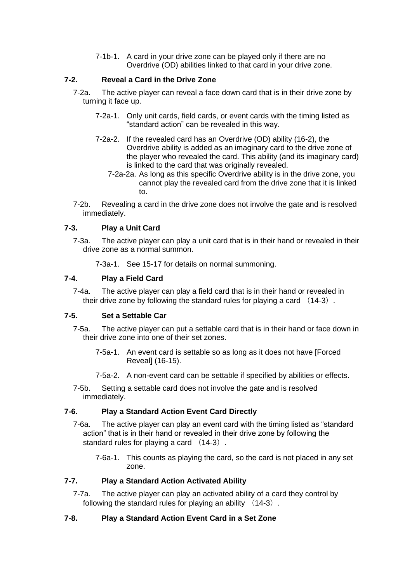7-1b-1. A card in your drive zone can be played only if there are no Overdrive (OD) abilities linked to that card in your drive zone.

# **7-2. Reveal a Card in the Drive Zone**

- 7-2a. The active player can reveal a face down card that is in their drive zone by turning it face up.
	- 7-2a-1. Only unit cards, field cards, or event cards with the timing listed as "standard action" can be revealed in this way.
	- 7-2a-2. If the revealed card has an Overdrive (OD) ability (16-2), the Overdrive ability is added as an imaginary card to the drive zone of the player who revealed the card. This ability (and its imaginary card) is linked to the card that was originally revealed.
		- 7-2a-2a. As long as this specific Overdrive ability is in the drive zone, you cannot play the revealed card from the drive zone that it is linked to.
- 7-2b. Revealing a card in the drive zone does not involve the gate and is resolved immediately.

### **7-3. Play a Unit Card**

- 7-3a. The active player can play a unit card that is in their hand or revealed in their drive zone as a normal summon.
	- 7-3a-1. See 15-17 for details on normal summoning.

## **7-4. Play a Field Card**

7-4a. The active player can play a field card that is in their hand or revealed in their drive zone by following the standard rules for playing a card  $(14-3)$ .

### **7-5. Set a Settable Car**

- 7-5a. The active player can put a settable card that is in their hand or face down in their drive zone into one of their set zones.
	- 7-5a-1. An event card is settable so as long as it does not have [Forced Reveal] (16-15).
	- 7-5a-2. A non-event card can be settable if specified by abilities or effects.
- 7-5b. Setting a settable card does not involve the gate and is resolved immediately.

### **7-6. Play a Standard Action Event Card Directly**

- 7-6a. The active player can play an event card with the timing listed as "standard action" that is in their hand or revealed in their drive zone by following the standard rules for playing a card (14-3).
	- 7-6a-1. This counts as playing the card, so the card is not placed in any set zone.

# **7-7. Play a Standard Action Activated Ability**

7-7a. The active player can play an activated ability of a card they control by following the standard rules for playing an ability (14-3).

### **7-8. Play a Standard Action Event Card in a Set Zone**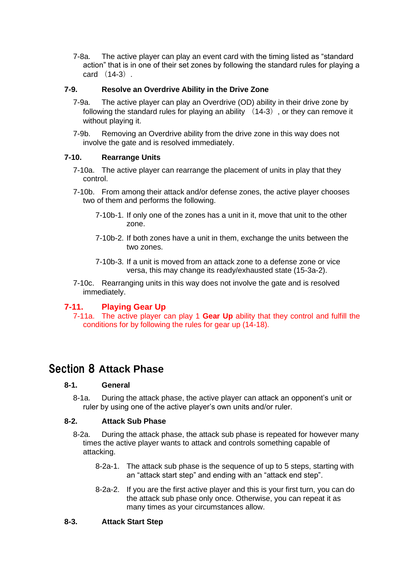7-8a. The active player can play an event card with the timing listed as "standard action" that is in one of their set zones by following the standard rules for playing a card (14-3).

# **7-9. Resolve an Overdrive Ability in the Drive Zone**

- 7-9a. The active player can play an Overdrive (OD) ability in their drive zone by following the standard rules for playing an ability  $(14-3)$ , or they can remove it without playing it.
- 7-9b. Removing an Overdrive ability from the drive zone in this way does not involve the gate and is resolved immediately.

### **7-10. Rearrange Units**

- 7-10a. The active player can rearrange the placement of units in play that they control.
- 7-10b. From among their attack and/or defense zones, the active player chooses two of them and performs the following.
	- 7-10b-1. If only one of the zones has a unit in it, move that unit to the other zone.
	- 7-10b-2. If both zones have a unit in them, exchange the units between the two zones.
	- 7-10b-3. If a unit is moved from an attack zone to a defense zone or vice versa, this may change its ready/exhausted state (15-3a-2).
- 7-10c. Rearranging units in this way does not involve the gate and is resolved immediately.

### **7-11. Playing Gear Up**

7-11a. The active player can play 1 **Gear Up** ability that they control and fulfill the conditions for by following the rules for gear up (14-18).

# <span id="page-18-0"></span>Section 8 **Attack Phase**

### **8-1. General**

8-1a. During the attack phase, the active player can attack an opponent's unit or ruler by using one of the active player's own units and/or ruler.

### **8-2. Attack Sub Phase**

- 8-2a. During the attack phase, the attack sub phase is repeated for however many times the active player wants to attack and controls something capable of attacking.
	- 8-2a-1. The attack sub phase is the sequence of up to 5 steps, starting with an "attack start step" and ending with an "attack end step".
	- 8-2a-2. If you are the first active player and this is your first turn, you can do the attack sub phase only once. Otherwise, you can repeat it as many times as your circumstances allow.

#### **8-3. Attack Start Step**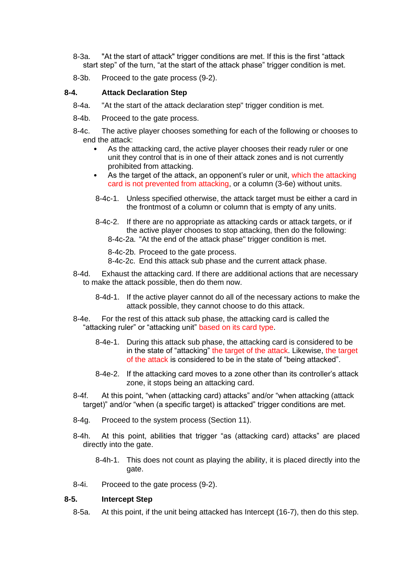- 8-3a. "At the start of attack" trigger conditions are met. If this is the first "attack start step" of the turn, "at the start of the attack phase" trigger condition is met.
- 8-3b. Proceed to the gate process (9-2).

#### **8-4. Attack Declaration Step**

- 8-4a. "At the start of the attack declaration step" trigger condition is met.
- 8-4b. Proceed to the gate process.
- 8-4c. The active player chooses something for each of the following or chooses to end the attack:
	- As the attacking card, the active player chooses their ready ruler or one unit they control that is in one of their attack zones and is not currently prohibited from attacking.
	- As the target of the attack, an opponent's ruler or unit, which the attacking card is not prevented from attacking, or a column (3-6e) without units.
	- 8-4c-1. Unless specified otherwise, the attack target must be either a card in the frontmost of a column or column that is empty of any units.
	- 8-4c-2. If there are no appropriate as attacking cards or attack targets, or if the active player chooses to stop attacking, then do the following: 8-4c-2a. "At the end of the attack phase" trigger condition is met.

8-4c-2b. Proceed to the gate process.

8-4c-2c. End this attack sub phase and the current attack phase.

- 8-4d. Exhaust the attacking card. If there are additional actions that are necessary to make the attack possible, then do them now.
	- 8-4d-1. If the active player cannot do all of the necessary actions to make the attack possible, they cannot choose to do this attack.
- 8-4e. For the rest of this attack sub phase, the attacking card is called the "attacking ruler" or "attacking unit" based on its card type.
	- 8-4e-1. During this attack sub phase, the attacking card is considered to be in the state of "attacking" the target of the attack. Likewise, the target of the attack is considered to be in the state of "being attacked".
	- 8-4e-2. If the attacking card moves to a zone other than its controller's attack zone, it stops being an attacking card.
- 8-4f. At this point, "when (attacking card) attacks" and/or "when attacking (attack target)" and/or "when (a specific target) is attacked" trigger conditions are met.
- 8-4g. Proceed to the system process (Section 11).
- 8-4h. At this point, abilities that trigger "as (attacking card) attacks" are placed directly into the gate.
	- 8-4h-1. This does not count as playing the ability, it is placed directly into the gate.
- 8-4i. Proceed to the gate process (9-2).

#### **8-5. Intercept Step**

8-5a. At this point, if the unit being attacked has Intercept (16-7), then do this step.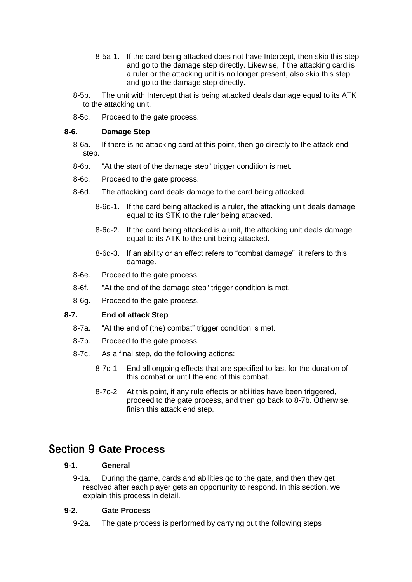- 8-5a-1. If the card being attacked does not have Intercept, then skip this step and go to the damage step directly. Likewise, if the attacking card is a ruler or the attacking unit is no longer present, also skip this step and go to the damage step directly.
- 8-5b. The unit with Intercept that is being attacked deals damage equal to its ATK to the attacking unit.
- 8-5c. Proceed to the gate process.

## **8-6. Damage Step**

- 8-6a. If there is no attacking card at this point, then go directly to the attack end step.
- 8-6b. "At the start of the damage step" trigger condition is met.
- 8-6c. Proceed to the gate process.
- 8-6d. The attacking card deals damage to the card being attacked.
	- 8-6d-1. If the card being attacked is a ruler, the attacking unit deals damage equal to its STK to the ruler being attacked.
	- 8-6d-2. If the card being attacked is a unit, the attacking unit deals damage equal to its ATK to the unit being attacked.
	- 8-6d-3. If an ability or an effect refers to "combat damage", it refers to this damage.
- 8-6e. Proceed to the gate process.
- 8-6f. "At the end of the damage step" trigger condition is met.
- 8-6g. Proceed to the gate process.

### **8-7. End of attack Step**

- 8-7a. "At the end of (the) combat" trigger condition is met.
- 8-7b. Proceed to the gate process.
- 8-7c. As a final step, do the following actions:
	- 8-7c-1. End all ongoing effects that are specified to last for the duration of this combat or until the end of this combat.
	- 8-7c-2. At this point, if any rule effects or abilities have been triggered, proceed to the gate process, and then go back to 8-7b. Otherwise, finish this attack end step.

# <span id="page-20-0"></span>Section 9 **Gate Process**

# **9-1. General**

9-1a. During the game, cards and abilities go to the gate, and then they get resolved after each player gets an opportunity to respond. In this section, we explain this process in detail.

# **9-2. Gate Process**

9-2a. The gate process is performed by carrying out the following steps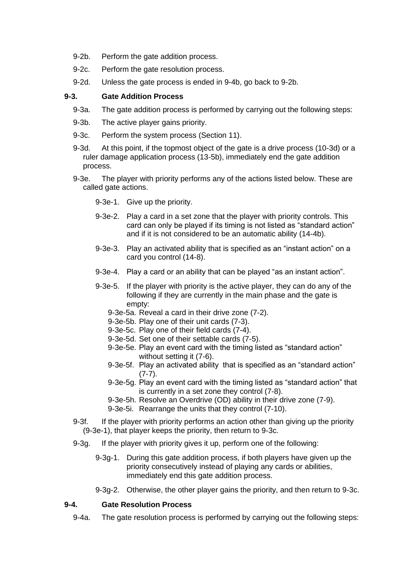- 9-2b. Perform the gate addition process.
- 9-2c. Perform the gate resolution process.
- 9-2d. Unless the gate process is ended in 9-4b, go back to 9-2b.

#### **9-3. Gate Addition Process**

- 9-3a. The gate addition process is performed by carrying out the following steps:
- 9-3b. The active player gains priority.
- 9-3c. Perform the system process (Section 11).
- 9-3d. At this point, if the topmost object of the gate is a drive process (10-3d) or a ruler damage application process (13-5b), immediately end the gate addition process.
- 9-3e. The player with priority performs any of the actions listed below. These are called gate actions.
	- 9-3e-1. Give up the priority.
	- 9-3e-2. Play a card in a set zone that the player with priority controls. This card can only be played if its timing is not listed as "standard action" and if it is not considered to be an automatic ability (14-4b).
	- 9-3e-3. Play an activated ability that is specified as an "instant action" on a card you control (14-8).
	- 9-3e-4. Play a card or an ability that can be played "as an instant action".
	- 9-3e-5. If the player with priority is the active player, they can do any of the following if they are currently in the main phase and the gate is empty:
		- 9-3e-5a. Reveal a card in their drive zone (7-2).
		- 9-3e-5b. Play one of their unit cards (7-3).
		- 9-3e-5c. Play one of their field cards (7-4).
		- 9-3e-5d. Set one of their settable cards (7-5).
		- 9-3e-5e. Play an event card with the timing listed as "standard action" without setting it (7-6).
		- 9-3e-5f. Play an activated ability that is specified as an "standard action"  $(7-7)$ .
		- 9-3e-5g. Play an event card with the timing listed as "standard action" that is currently in a set zone they control (7-8).
		- 9-3e-5h. Resolve an Overdrive (OD) ability in their drive zone (7-9).
		- 9-3e-5i. Rearrange the units that they control (7-10).
- 9-3f. If the player with priority performs an action other than giving up the priority (9-3e-1), that player keeps the priority, then return to 9-3c.
- 9-3g. If the player with priority gives it up, perform one of the following:
	- 9-3g-1. During this gate addition process, if both players have given up the priority consecutively instead of playing any cards or abilities, immediately end this gate addition process.
	- 9-3g-2. Otherwise, the other player gains the priority, and then return to 9-3c.

### **9-4. Gate Resolution Process**

9-4a. The gate resolution process is performed by carrying out the following steps: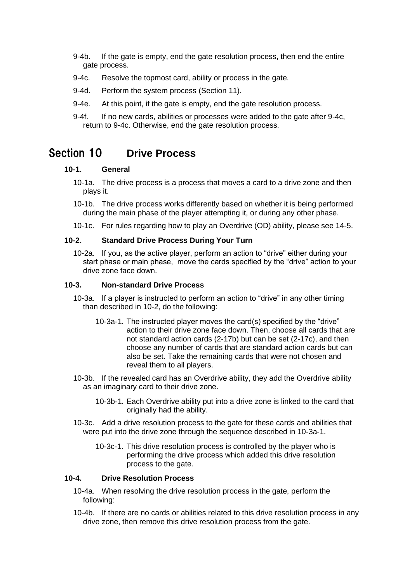- 9-4b. If the gate is empty, end the gate resolution process, then end the entire gate process.
- 9-4c. Resolve the topmost card, ability or process in the gate.
- 9-4d. Perform the system process (Section 11).
- 9-4e. At this point, if the gate is empty, end the gate resolution process.
- 9-4f. If no new cards, abilities or processes were added to the gate after 9-4c, return to 9-4c. Otherwise, end the gate resolution process.

# <span id="page-22-0"></span>Section 10 **Drive Process**

#### **10-1. General**

- 10-1a. The drive process is a process that moves a card to a drive zone and then plays it.
- 10-1b. The drive process works differently based on whether it is being performed during the main phase of the player attempting it, or during any other phase.
- 10-1c. For rules regarding how to play an Overdrive (OD) ability, please see 14-5.

#### **10-2. Standard Drive Process During Your Turn**

10-2a. If you, as the active player, perform an action to "drive" either during your start phase or main phase, move the cards specified by the "drive" action to your drive zone face down.

#### **10-3. Non-standard Drive Process**

- 10-3a. If a player is instructed to perform an action to "drive" in any other timing than described in 10-2, do the following:
	- 10-3a-1. The instructed player moves the card(s) specified by the "drive" action to their drive zone face down. Then, choose all cards that are not standard action cards (2-17b) but can be set (2-17c), and then choose any number of cards that are standard action cards but can also be set. Take the remaining cards that were not chosen and reveal them to all players.
- 10-3b. If the revealed card has an Overdrive ability, they add the Overdrive ability as an imaginary card to their drive zone.
	- 10-3b-1. Each Overdrive ability put into a drive zone is linked to the card that originally had the ability.
- 10-3c. Add a drive resolution process to the gate for these cards and abilities that were put into the drive zone through the sequence described in 10-3a-1.
	- 10-3c-1. This drive resolution process is controlled by the player who is performing the drive process which added this drive resolution process to the gate.

#### **10-4. Drive Resolution Process**

- 10-4a. When resolving the drive resolution process in the gate, perform the following:
- 10-4b. If there are no cards or abilities related to this drive resolution process in any drive zone, then remove this drive resolution process from the gate.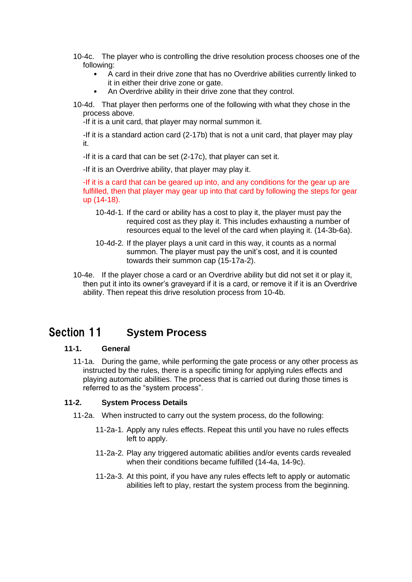- 10-4c. The player who is controlling the drive resolution process chooses one of the following:
	- A card in their drive zone that has no Overdrive abilities currently linked to it in either their drive zone or gate.
	- An Overdrive ability in their drive zone that they control.
- 10-4d. That player then performs one of the following with what they chose in the process above.

-If it is a unit card, that player may normal summon it.

-If it is a standard action card (2-17b) that is not a unit card, that player may play it.

-If it is a card that can be set (2-17c), that player can set it.

-If it is an Overdrive ability, that player may play it.

-If it is a card that can be geared up into, and any conditions for the gear up are fulfilled, then that player may gear up into that card by following the steps for gear up (14-18).

- 10-4d-1. If the card or ability has a cost to play it, the player must pay the required cost as they play it. This includes exhausting a number of resources equal to the level of the card when playing it. (14-3b-6a).
- 10-4d-2. If the player plays a unit card in this way, it counts as a normal summon. The player must pay the unit's cost, and it is counted towards their summon cap (15-17a-2).
- 10-4e. If the player chose a card or an Overdrive ability but did not set it or play it, then put it into its owner's graveyard if it is a card, or remove it if it is an Overdrive ability. Then repeat this drive resolution process from 10-4b.

# <span id="page-23-0"></span>Section 11 **System Process**

### **11-1. General**

11-1a. During the game, while performing the gate process or any other process as instructed by the rules, there is a specific timing for applying rules effects and playing automatic abilities. The process that is carried out during those times is referred to as the "system process".

### **11-2. System Process Details**

- 11-2a. When instructed to carry out the system process, do the following:
	- 11-2a-1. Apply any rules effects. Repeat this until you have no rules effects left to apply.
	- 11-2a-2. Play any triggered automatic abilities and/or events cards revealed when their conditions became fulfilled (14-4a, 14-9c).
	- 11-2a-3. At this point, if you have any rules effects left to apply or automatic abilities left to play, restart the system process from the beginning.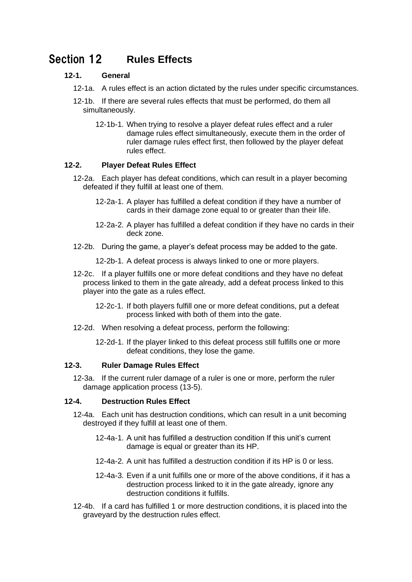# <span id="page-24-0"></span>Section 12 **Rules Effects**

# **12-1. General**

- 12-1a. A rules effect is an action dictated by the rules under specific circumstances.
- 12-1b. If there are several rules effects that must be performed, do them all simultaneously.
	- 12-1b-1. When trying to resolve a player defeat rules effect and a ruler damage rules effect simultaneously, execute them in the order of ruler damage rules effect first, then followed by the player defeat rules effect.

# **12-2. Player Defeat Rules Effect**

- 12-2a. Each player has defeat conditions, which can result in a player becoming defeated if they fulfill at least one of them.
	- 12-2a-1. A player has fulfilled a defeat condition if they have a number of cards in their damage zone equal to or greater than their life.
	- 12-2a-2. A player has fulfilled a defeat condition if they have no cards in their deck zone.
- 12-2b. During the game, a player's defeat process may be added to the gate.
	- 12-2b-1. A defeat process is always linked to one or more players.
- 12-2c. If a player fulfills one or more defeat conditions and they have no defeat process linked to them in the gate already, add a defeat process linked to this player into the gate as a rules effect.
	- 12-2c-1. If both players fulfill one or more defeat conditions, put a defeat process linked with both of them into the gate.
- 12-2d. When resolving a defeat process, perform the following:
	- 12-2d-1. If the player linked to this defeat process still fulfills one or more defeat conditions, they lose the game.

### **12-3. Ruler Damage Rules Effect**

12-3a. If the current ruler damage of a ruler is one or more, perform the ruler damage application process (13-5).

### **12-4. Destruction Rules Effect**

- 12-4a. Each unit has destruction conditions, which can result in a unit becoming destroyed if they fulfill at least one of them.
	- 12-4a-1. A unit has fulfilled a destruction condition If this unit's current damage is equal or greater than its HP.
	- 12-4a-2. A unit has fulfilled a destruction condition if its HP is 0 or less.
	- 12-4a-3. Even if a unit fulfills one or more of the above conditions, if it has a destruction process linked to it in the gate already, ignore any destruction conditions it fulfills.
- 12-4b. If a card has fulfilled 1 or more destruction conditions, it is placed into the graveyard by the destruction rules effect.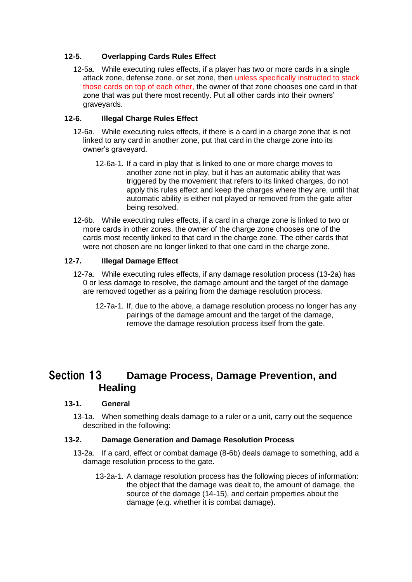# **12-5. Overlapping Cards Rules Effect**

12-5a. While executing rules effects, if a player has two or more cards in a single attack zone, defense zone, or set zone, then unless specifically instructed to stack those cards on top of each other, the owner of that zone chooses one card in that zone that was put there most recently. Put all other cards into their owners' graveyards.

## **12-6. Illegal Charge Rules Effect**

- 12-6a. While executing rules effects, if there is a card in a charge zone that is not linked to any card in another zone, put that card in the charge zone into its owner's graveyard.
	- 12-6a-1. If a card in play that is linked to one or more charge moves to another zone not in play, but it has an automatic ability that was triggered by the movement that refers to its linked charges, do not apply this rules effect and keep the charges where they are, until that automatic ability is either not played or removed from the gate after being resolved.
- 12-6b. While executing rules effects, if a card in a charge zone is linked to two or more cards in other zones, the owner of the charge zone chooses one of the cards most recently linked to that card in the charge zone. The other cards that were not chosen are no longer linked to that one card in the charge zone.

# **12-7. Illegal Damage Effect**

- 12-7a. While executing rules effects, if any damage resolution process (13-2a) has 0 or less damage to resolve, the damage amount and the target of the damage are removed together as a pairing from the damage resolution process.
	- 12-7a-1. If, due to the above, a damage resolution process no longer has any pairings of the damage amount and the target of the damage, remove the damage resolution process itself from the gate.

# <span id="page-25-0"></span>Section 13 **Damage Process, Damage Prevention, and Healing**

### **13-1. General**

13-1a. When something deals damage to a ruler or a unit, carry out the sequence described in the following:

### **13-2. Damage Generation and Damage Resolution Process**

- 13-2a. If a card, effect or combat damage (8-6b) deals damage to something, add a damage resolution process to the gate.
	- 13-2a-1. A damage resolution process has the following pieces of information: the object that the damage was dealt to, the amount of damage, the source of the damage (14-15), and certain properties about the damage (e.g. whether it is combat damage).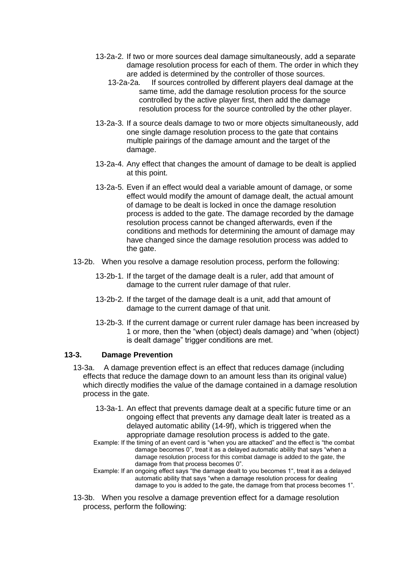- 13-2a-2. If two or more sources deal damage simultaneously, add a separate damage resolution process for each of them. The order in which they are added is determined by the controller of those sources.
	- 13-2a-2a. If sources controlled by different players deal damage at the same time, add the damage resolution process for the source controlled by the active player first, then add the damage resolution process for the source controlled by the other player.
- 13-2a-3. If a source deals damage to two or more objects simultaneously, add one single damage resolution process to the gate that contains multiple pairings of the damage amount and the target of the damage.
- 13-2a-4. Any effect that changes the amount of damage to be dealt is applied at this point.
- 13-2a-5. Even if an effect would deal a variable amount of damage, or some effect would modify the amount of damage dealt, the actual amount of damage to be dealt is locked in once the damage resolution process is added to the gate. The damage recorded by the damage resolution process cannot be changed afterwards, even if the conditions and methods for determining the amount of damage may have changed since the damage resolution process was added to the gate.
- 13-2b. When you resolve a damage resolution process, perform the following:
	- 13-2b-1. If the target of the damage dealt is a ruler, add that amount of damage to the current ruler damage of that ruler.
	- 13-2b-2. If the target of the damage dealt is a unit, add that amount of damage to the current damage of that unit.
	- 13-2b-3. If the current damage or current ruler damage has been increased by 1 or more, then the "when (object) deals damage) and "when (object) is dealt damage" trigger conditions are met.

### **13-3. Damage Prevention**

- 13-3a. A damage prevention effect is an effect that reduces damage (including effects that reduce the damage down to an amount less than its original value) which directly modifies the value of the damage contained in a damage resolution process in the gate.
	- 13-3a-1. An effect that prevents damage dealt at a specific future time or an ongoing effect that prevents any damage dealt later is treated as a delayed automatic ability (14-9f), which is triggered when the appropriate damage resolution process is added to the gate.
	- Example: If the timing of an event card is "when you are attacked" and the effect is "the combat damage becomes 0", treat it as a delayed automatic ability that says "when a damage resolution process for this combat damage is added to the gate, the damage from that process becomes 0".
	- Example: If an ongoing effect says "the damage dealt to you becomes 1", treat it as a delayed automatic ability that says "when a damage resolution process for dealing damage to you is added to the gate, the damage from that process becomes 1".
- 13-3b. When you resolve a damage prevention effect for a damage resolution process, perform the following: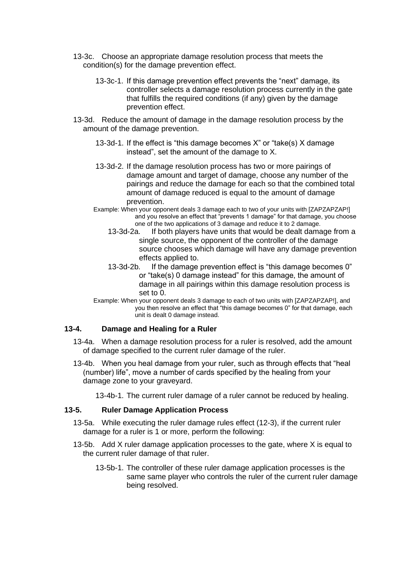- 13-3c. Choose an appropriate damage resolution process that meets the condition(s) for the damage prevention effect.
	- 13-3c-1. If this damage prevention effect prevents the "next" damage, its controller selects a damage resolution process currently in the gate that fulfills the required conditions (if any) given by the damage prevention effect.
- 13-3d. Reduce the amount of damage in the damage resolution process by the amount of the damage prevention.
	- 13-3d-1. If the effect is "this damage becomes X" or "take(s) X damage instead", set the amount of the damage to X.
	- 13-3d-2. If the damage resolution process has two or more pairings of damage amount and target of damage, choose any number of the pairings and reduce the damage for each so that the combined total amount of damage reduced is equal to the amount of damage prevention.
	- Example: When your opponent deals 3 damage each to two of your units with [ZAPZAPZAP!] and you resolve an effect that "prevents 1 damage" for that damage, you choose one of the two applications of 3 damage and reduce it to 2 damage.
		- 13-3d-2a. If both players have units that would be dealt damage from a single source, the opponent of the controller of the damage source chooses which damage will have any damage prevention effects applied to.
		- 13-3d-2b. If the damage prevention effect is "this damage becomes 0" or "take(s) 0 damage instead" for this damage, the amount of damage in all pairings within this damage resolution process is set to 0.
	- Example: When your opponent deals 3 damage to each of two units with [ZAPZAPZAP!], and you then resolve an effect that "this damage becomes 0" for that damage, each unit is dealt 0 damage instead.

## **13-4. Damage and Healing for a Ruler**

- 13-4a. When a damage resolution process for a ruler is resolved, add the amount of damage specified to the current ruler damage of the ruler.
- 13-4b. When you heal damage from your ruler, such as through effects that "heal (number) life", move a number of cards specified by the healing from your damage zone to your graveyard.

13-4b-1. The current ruler damage of a ruler cannot be reduced by healing.

### **13-5. Ruler Damage Application Process**

- 13-5a. While executing the ruler damage rules effect (12-3), if the current ruler damage for a ruler is 1 or more, perform the following:
- 13-5b. Add X ruler damage application processes to the gate, where X is equal to the current ruler damage of that ruler.
	- 13-5b-1. The controller of these ruler damage application processes is the same same player who controls the ruler of the current ruler damage being resolved.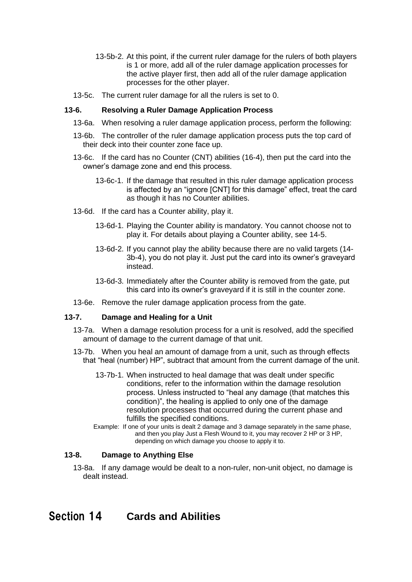- 13-5b-2. At this point, if the current ruler damage for the rulers of both players is 1 or more, add all of the ruler damage application processes for the active player first, then add all of the ruler damage application processes for the other player.
- 13-5c. The current ruler damage for all the rulers is set to 0.

#### **13-6. Resolving a Ruler Damage Application Process**

- 13-6a. When resolving a ruler damage application process, perform the following:
- 13-6b. The controller of the ruler damage application process puts the top card of their deck into their counter zone face up.
- 13-6c. If the card has no Counter (CNT) abilities (16-4), then put the card into the owner's damage zone and end this process.
	- 13-6c-1. If the damage that resulted in this ruler damage application process is affected by an "ignore [CNT] for this damage" effect, treat the card as though it has no Counter abilities.
- 13-6d. If the card has a Counter ability, play it.
	- 13-6d-1. Playing the Counter ability is mandatory. You cannot choose not to play it. For details about playing a Counter ability, see 14-5.
	- 13-6d-2. If you cannot play the ability because there are no valid targets (14- 3b-4), you do not play it. Just put the card into its owner's graveyard instead.
	- 13-6d-3. Immediately after the Counter ability is removed from the gate, put this card into its owner's graveyard if it is still in the counter zone.
- 13-6e. Remove the ruler damage application process from the gate.

#### **13-7. Damage and Healing for a Unit**

- 13-7a. When a damage resolution process for a unit is resolved, add the specified amount of damage to the current damage of that unit.
- 13-7b. When you heal an amount of damage from a unit, such as through effects that "heal (number) HP", subtract that amount from the current damage of the unit.
	- 13-7b-1. When instructed to heal damage that was dealt under specific conditions, refer to the information within the damage resolution process. Unless instructed to "heal any damage (that matches this condition)", the healing is applied to only one of the damage resolution processes that occurred during the current phase and fulfills the specified conditions.
	- Example: If one of your units is dealt 2 damage and 3 damage separately in the same phase, and then you play Just a Flesh Wound to it, you may recover 2 HP or 3 HP, depending on which damage you choose to apply it to.

#### **13-8. Damage to Anything Else**

13-8a. If any damage would be dealt to a non-ruler, non-unit object, no damage is dealt instead.

# <span id="page-28-0"></span>Section 14 **Cards and Abilities**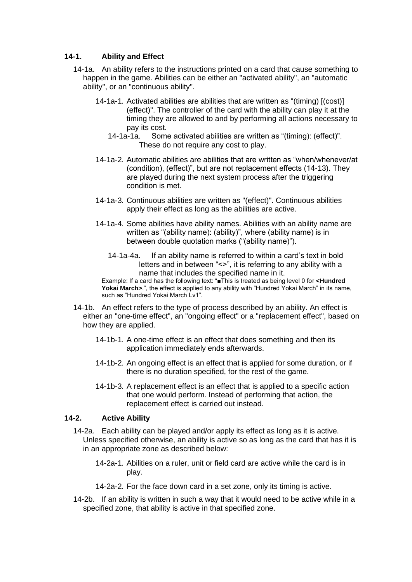## **14-1. Ability and Effect**

- 14-1a. An ability refers to the instructions printed on a card that cause something to happen in the game. Abilities can be either an "activated ability", an "automatic ability", or an "continuous ability".
	- 14-1a-1. Activated abilities are abilities that are written as "(timing) [(cost)] (effect)". The controller of the card with the ability can play it at the timing they are allowed to and by performing all actions necessary to pay its cost.
		- 14-1a-1a. Some activated abilities are written as "(timing): (effect)". These do not require any cost to play.
	- 14-1a-2. Automatic abilities are abilities that are written as "when/whenever/at (condition), (effect)", but are not replacement effects (14-13). They are played during the next system process after the triggering condition is met.
	- 14-1a-3. Continuous abilities are written as "(effect)". Continuous abilities apply their effect as long as the abilities are active.
	- 14-1a-4. Some abilities have ability names. Abilities with an ability name are written as "(ability name): (ability)", where (ability name) is in between double quotation marks ("(ability name)").
		- 14-1a-4a. If an ability name is referred to within a card's text in bold letters and in between "<>", it is referring to any ability with a name that includes the specified name in it.

Example: If a card has the following text: "■This is treated as being level 0 for **<Hundred**  Yokai March><sup>7</sup>, the effect is applied to any ability with "Hundred Yokai March" in its name, such as "Hundred Yokai March Lv1".

- 14-1b. An effect refers to the type of process described by an ability. An effect is either an "one-time effect", an "ongoing effect" or a "replacement effect", based on how they are applied.
	- 14-1b-1. A one-time effect is an effect that does something and then its application immediately ends afterwards.
	- 14-1b-2. An ongoing effect is an effect that is applied for some duration, or if there is no duration specified, for the rest of the game.
	- 14-1b-3. A replacement effect is an effect that is applied to a specific action that one would perform. Instead of performing that action, the replacement effect is carried out instead.

### **14-2. Active Ability**

- 14-2a. Each ability can be played and/or apply its effect as long as it is active. Unless specified otherwise, an ability is active so as long as the card that has it is in an appropriate zone as described below:
	- 14-2a-1. Abilities on a ruler, unit or field card are active while the card is in play.
	- 14-2a-2. For the face down card in a set zone, only its timing is active.
- 14-2b. If an ability is written in such a way that it would need to be active while in a specified zone, that ability is active in that specified zone.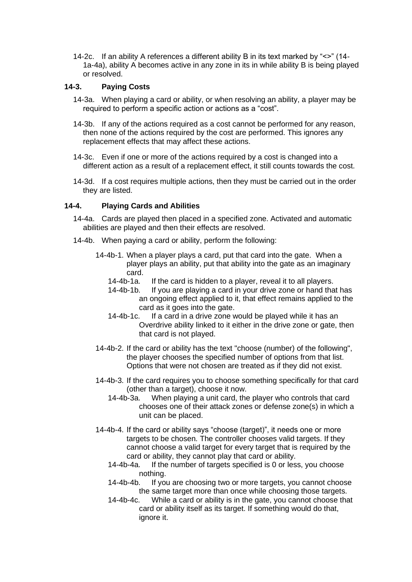14-2c. If an ability A references a different ability B in its text marked by "<>" (14- 1a-4a), ability A becomes active in any zone in its in while ability B is being played or resolved.

#### **14-3. Paying Costs**

- 14-3a. When playing a card or ability, or when resolving an ability, a player may be required to perform a specific action or actions as a "cost".
- 14-3b. If any of the actions required as a cost cannot be performed for any reason, then none of the actions required by the cost are performed. This ignores any replacement effects that may affect these actions.
- 14-3c. Even if one or more of the actions required by a cost is changed into a different action as a result of a replacement effect, it still counts towards the cost.
- 14-3d. If a cost requires multiple actions, then they must be carried out in the order they are listed.

#### **14-4. Playing Cards and Abilities**

- 14-4a. Cards are played then placed in a specified zone. Activated and automatic abilities are played and then their effects are resolved.
- 14-4b. When paying a card or ability, perform the following:
	- 14-4b-1. When a player plays a card, put that card into the gate. When a player plays an ability, put that ability into the gate as an imaginary card.
		- 14-4b-1a. If the card is hidden to a player, reveal it to all players.
		- 14-4b-1b. If you are playing a card in your drive zone or hand that has an ongoing effect applied to it, that effect remains applied to the card as it goes into the gate.
		- 14-4b-1c. If a card in a drive zone would be played while it has an Overdrive ability linked to it either in the drive zone or gate, then that card is not played.
	- 14-4b-2. If the card or ability has the text "choose (number) of the following", the player chooses the specified number of options from that list. Options that were not chosen are treated as if they did not exist.
	- 14-4b-3. If the card requires you to choose something specifically for that card (other than a target), choose it now.
		- 14-4b-3a. When playing a unit card, the player who controls that card chooses one of their attack zones or defense zone(s) in which a unit can be placed.
	- 14-4b-4. If the card or ability says "choose (target)", it needs one or more targets to be chosen. The controller chooses valid targets. If they cannot choose a valid target for every target that is required by the card or ability, they cannot play that card or ability.<br>14-4b-4a. If the number of targets specified is 0 or les
		- If the number of targets specified is 0 or less, you choose nothing.
		- 14-4b-4b. If you are choosing two or more targets, you cannot choose the same target more than once while choosing those targets.
		- 14-4b-4c. While a card or ability is in the gate, you cannot choose that card or ability itself as its target. If something would do that, ignore it.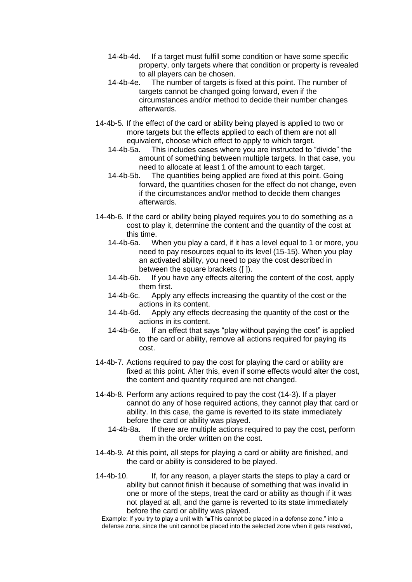- 14-4b-4d. If a target must fulfill some condition or have some specific property, only targets where that condition or property is revealed to all players can be chosen.
- 14-4b-4e. The number of targets is fixed at this point. The number of targets cannot be changed going forward, even if the circumstances and/or method to decide their number changes afterwards.
- 14-4b-5. If the effect of the card or ability being played is applied to two or more targets but the effects applied to each of them are not all equivalent, choose which effect to apply to which target.
	- 14-4b-5a. This includes cases where you are instructed to "divide" the amount of something between multiple targets. In that case, you need to allocate at least 1 of the amount to each target.
	- 14-4b-5b. The quantities being applied are fixed at this point. Going forward, the quantities chosen for the effect do not change, even if the circumstances and/or method to decide them changes afterwards.
- 14-4b-6. If the card or ability being played requires you to do something as a cost to play it, determine the content and the quantity of the cost at this time.
	- 14-4b-6a. When you play a card, if it has a level equal to 1 or more, you need to pay resources equal to its level (15-15). When you play an activated ability, you need to pay the cost described in between the square brackets ([ ]).
	- 14-4b-6b. If you have any effects altering the content of the cost, apply them first.
	- 14-4b-6c. Apply any effects increasing the quantity of the cost or the actions in its content.
	- 14-4b-6d. Apply any effects decreasing the quantity of the cost or the actions in its content.
	- 14-4b-6e. If an effect that says "play without paying the cost" is applied to the card or ability, remove all actions required for paying its cost.
- 14-4b-7. Actions required to pay the cost for playing the card or ability are fixed at this point. After this, even if some effects would alter the cost, the content and quantity required are not changed.
- 14-4b-8. Perform any actions required to pay the cost (14-3). If a player cannot do any of hose required actions, they cannot play that card or ability. In this case, the game is reverted to its state immediately before the card or ability was played.
	- 14-4b-8a. If there are multiple actions required to pay the cost, perform them in the order written on the cost.
- 14-4b-9. At this point, all steps for playing a card or ability are finished, and the card or ability is considered to be played.
- 14-4b-10. If, for any reason, a player starts the steps to play a card or ability but cannot finish it because of something that was invalid in one or more of the steps, treat the card or ability as though if it was not played at all, and the game is reverted to its state immediately before the card or ability was played.

Example: If you try to play a unit with "■This cannot be placed in a defense zone." into a defense zone, since the unit cannot be placed into the selected zone when it gets resolved,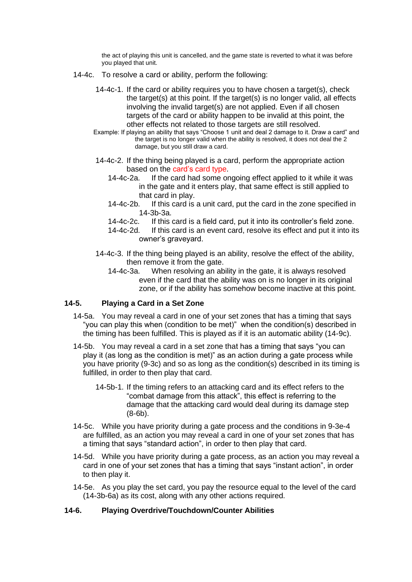the act of playing this unit is cancelled, and the game state is reverted to what it was before you played that unit.

- 14-4c. To resolve a card or ability, perform the following:
	- 14-4c-1. If the card or ability requires you to have chosen a target(s), check the target(s) at this point. If the target(s) is no longer valid, all effects involving the invalid target(s) are not applied. Even if all chosen targets of the card or ability happen to be invalid at this point, the other effects not related to those targets are still resolved.
	- Example: If playing an ability that says "Choose 1 unit and deal 2 damage to it. Draw a card" and the target is no longer valid when the ability is resolved, it does not deal the 2 damage, but you still draw a card.
	- 14-4c-2. If the thing being played is a card, perform the appropriate action based on the card's card type.
		- 14-4c-2a. If the card had some ongoing effect applied to it while it was in the gate and it enters play, that same effect is still applied to that card in play.
		- 14-4c-2b. If this card is a unit card, put the card in the zone specified in 14-3b-3a.
		- 14-4c-2c. If this card is a field card, put it into its controller's field zone.
		- 14-4c-2d. If this card is an event card, resolve its effect and put it into its owner's graveyard.
	- 14-4c-3. If the thing being played is an ability, resolve the effect of the ability, then remove it from the gate.
		- 14-4c-3a. When resolving an ability in the gate, it is always resolved even if the card that the ability was on is no longer in its original zone, or if the ability has somehow become inactive at this point.

#### **14-5. Playing a Card in a Set Zone**

- 14-5a. You may reveal a card in one of your set zones that has a timing that says "you can play this when (condition to be met)" when the condition(s) described in the timing has been fulfilled. This is played as if it is an automatic ability (14-9c).
- 14-5b. You may reveal a card in a set zone that has a timing that says "you can play it (as long as the condition is met)" as an action during a gate process while you have priority (9-3c) and so as long as the condition(s) described in its timing is fulfilled, in order to then play that card.
	- 14-5b-1. If the timing refers to an attacking card and its effect refers to the "combat damage from this attack", this effect is referring to the damage that the attacking card would deal during its damage step (8-6b).
- 14-5c. While you have priority during a gate process and the conditions in 9-3e-4 are fulfilled, as an action you may reveal a card in one of your set zones that has a timing that says "standard action", in order to then play that card.
- 14-5d. While you have priority during a gate process, as an action you may reveal a card in one of your set zones that has a timing that says "instant action", in order to then play it.
- 14-5e. As you play the set card, you pay the resource equal to the level of the card (14-3b-6a) as its cost, along with any other actions required.

#### **14-6. Playing Overdrive/Touchdown/Counter Abilities**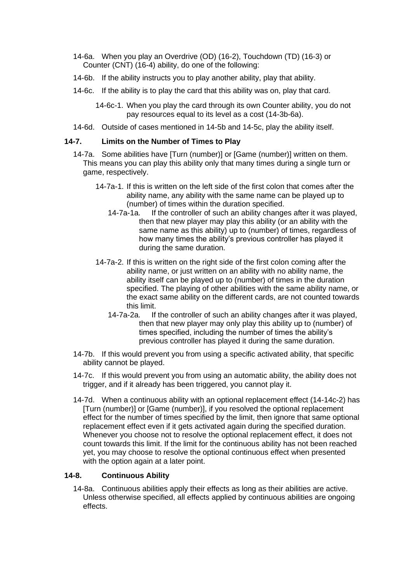- 14-6a. When you play an Overdrive (OD) (16-2), Touchdown (TD) (16-3) or Counter (CNT) (16-4) ability, do one of the following:
- 14-6b. If the ability instructs you to play another ability, play that ability.
- 14-6c. If the ability is to play the card that this ability was on, play that card.
	- 14-6c-1. When you play the card through its own Counter ability, you do not pay resources equal to its level as a cost (14-3b-6a).
- 14-6d. Outside of cases mentioned in 14-5b and 14-5c, play the ability itself.

#### **14-7. Limits on the Number of Times to Play**

- 14-7a. Some abilities have [Turn (number)] or [Game (number)] written on them. This means you can play this ability only that many times during a single turn or game, respectively.
	- 14-7a-1. If this is written on the left side of the first colon that comes after the ability name, any ability with the same name can be played up to (number) of times within the duration specified.
		- 14-7a-1a. If the controller of such an ability changes after it was played, then that new player may play this ability (or an ability with the same name as this ability) up to (number) of times, regardless of how many times the ability's previous controller has played it during the same duration.
	- 14-7a-2. If this is written on the right side of the first colon coming after the ability name, or just written on an ability with no ability name, the ability itself can be played up to (number) of times in the duration specified. The playing of other abilities with the same ability name, or the exact same ability on the different cards, are not counted towards this limit.
		- 14-7a-2a. If the controller of such an ability changes after it was played, then that new player may only play this ability up to (number) of times specified, including the number of times the ability's previous controller has played it during the same duration.
- 14-7b. If this would prevent you from using a specific activated ability, that specific ability cannot be played.
- 14-7c. If this would prevent you from using an automatic ability, the ability does not trigger, and if it already has been triggered, you cannot play it.
- 14-7d. When a continuous ability with an optional replacement effect (14-14c-2) has [Turn (number)] or [Game (number)], if you resolved the optional replacement effect for the number of times specified by the limit, then ignore that same optional replacement effect even if it gets activated again during the specified duration. Whenever you choose not to resolve the optional replacement effect, it does not count towards this limit. If the limit for the continuous ability has not been reached yet, you may choose to resolve the optional continuous effect when presented with the option again at a later point.

### **14-8. Continuous Ability**

14-8a. Continuous abilities apply their effects as long as their abilities are active. Unless otherwise specified, all effects applied by continuous abilities are ongoing effects.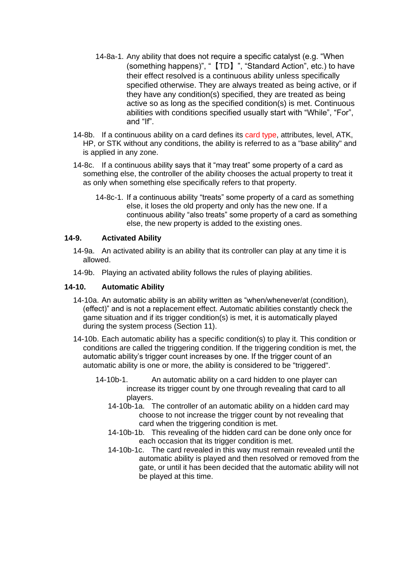- 14-8a-1. Any ability that does not require a specific catalyst (e.g. "When (something happens)", "【TD】", "Standard Action", etc.) to have their effect resolved is a continuous ability unless specifically specified otherwise. They are always treated as being active, or if they have any condition(s) specified, they are treated as being active so as long as the specified condition(s) is met. Continuous abilities with conditions specified usually start with "While", "For", and "If".
- 14-8b. If a continuous ability on a card defines its card type, attributes, level, ATK, HP, or STK without any conditions, the ability is referred to as a "base ability" and is applied in any zone.
- 14-8c. If a continuous ability says that it "may treat" some property of a card as something else, the controller of the ability chooses the actual property to treat it as only when something else specifically refers to that property.
	- 14-8c-1. If a continuous ability "treats" some property of a card as something else, it loses the old property and only has the new one. If a continuous ability "also treats" some property of a card as something else, the new property is added to the existing ones.

### **14-9. Activated Ability**

- 14-9a. An activated ability is an ability that its controller can play at any time it is allowed.
- 14-9b. Playing an activated ability follows the rules of playing abilities.

#### **14-10. Automatic Ability**

- 14-10a. An automatic ability is an ability written as "when/whenever/at (condition), (effect)" and is not a replacement effect. Automatic abilities constantly check the game situation and if its trigger condition(s) is met, it is automatically played during the system process (Section 11).
- 14-10b. Each automatic ability has a specific condition(s) to play it. This condition or conditions are called the triggering condition. If the triggering condition is met, the automatic ability's trigger count increases by one. If the trigger count of an automatic ability is one or more, the ability is considered to be "triggered".
	- 14-10b-1. An automatic ability on a card hidden to one player can increase its trigger count by one through revealing that card to all players.
		- 14-10b-1a. The controller of an automatic ability on a hidden card may choose to not increase the trigger count by not revealing that card when the triggering condition is met.
		- 14-10b-1b. This revealing of the hidden card can be done only once for each occasion that its trigger condition is met.
		- 14-10b-1c. The card revealed in this way must remain revealed until the automatic ability is played and then resolved or removed from the gate, or until it has been decided that the automatic ability will not be played at this time.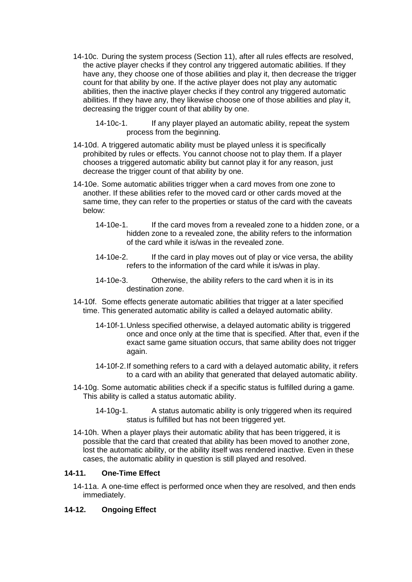- 14-10c. During the system process (Section 11), after all rules effects are resolved, the active player checks if they control any triggered automatic abilities. If they have any, they choose one of those abilities and play it, then decrease the trigger count for that ability by one. If the active player does not play any automatic abilities, then the inactive player checks if they control any triggered automatic abilities. If they have any, they likewise choose one of those abilities and play it, decreasing the trigger count of that ability by one.
	- 14-10c-1. If any player played an automatic ability, repeat the system process from the beginning.
- 14-10d. A triggered automatic ability must be played unless it is specifically prohibited by rules or effects. You cannot choose not to play them. If a player chooses a triggered automatic ability but cannot play it for any reason, just decrease the trigger count of that ability by one.
- 14-10e. Some automatic abilities trigger when a card moves from one zone to another. If these abilities refer to the moved card or other cards moved at the same time, they can refer to the properties or status of the card with the caveats below:
	- 14-10e-1. If the card moves from a revealed zone to a hidden zone, or a hidden zone to a revealed zone, the ability refers to the information of the card while it is/was in the revealed zone.
	- 14-10e-2. If the card in play moves out of play or vice versa, the ability refers to the information of the card while it is/was in play.
	- 14-10e-3. Otherwise, the ability refers to the card when it is in its destination zone.
- 14-10f. Some effects generate automatic abilities that trigger at a later specified time. This generated automatic ability is called a delayed automatic ability.
	- 14-10f-1.Unless specified otherwise, a delayed automatic ability is triggered once and once only at the time that is specified. After that, even if the exact same game situation occurs, that same ability does not trigger again.
	- 14-10f-2.If something refers to a card with a delayed automatic ability, it refers to a card with an ability that generated that delayed automatic ability.
- 14-10g. Some automatic abilities check if a specific status is fulfilled during a game. This ability is called a status automatic ability.
	- 14-10g-1. A status automatic ability is only triggered when its required status is fulfilled but has not been triggered yet.
- 14-10h. When a player plays their automatic ability that has been triggered, it is possible that the card that created that ability has been moved to another zone, lost the automatic ability, or the ability itself was rendered inactive. Even in these cases, the automatic ability in question is still played and resolved.

## **14-11. One-Time Effect**

14-11a. A one-time effect is performed once when they are resolved, and then ends immediately.

### **14-12. Ongoing Effect**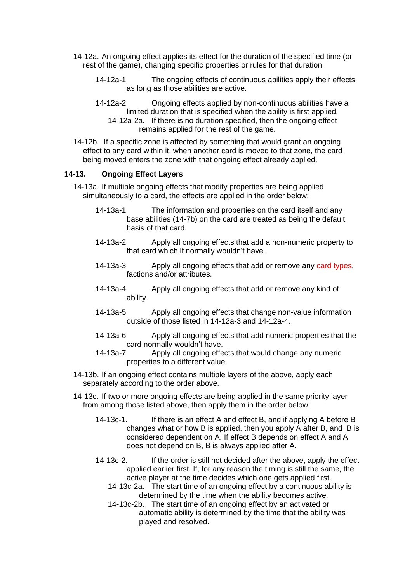- 14-12a. An ongoing effect applies its effect for the duration of the specified time (or rest of the game), changing specific properties or rules for that duration.
	- 14-12a-1. The ongoing effects of continuous abilities apply their effects as long as those abilities are active.
	- 14-12a-2. Ongoing effects applied by non-continuous abilities have a limited duration that is specified when the ability is first applied. 14-12a-2a. If there is no duration specified, then the ongoing effect remains applied for the rest of the game.
- 14-12b. If a specific zone is affected by something that would grant an ongoing effect to any card within it, when another card is moved to that zone, the card being moved enters the zone with that ongoing effect already applied.

#### **14-13. Ongoing Effect Layers**

- 14-13a. If multiple ongoing effects that modify properties are being applied simultaneously to a card, the effects are applied in the order below:
	- 14-13a-1. The information and properties on the card itself and any base abilities (14-7b) on the card are treated as being the default basis of that card.
	- 14-13a-2. Apply all ongoing effects that add a non-numeric property to that card which it normally wouldn't have.
	- 14-13a-3. Apply all ongoing effects that add or remove any card types, factions and/or attributes.
	- 14-13a-4. Apply all ongoing effects that add or remove any kind of ability.
	- 14-13a-5. Apply all ongoing effects that change non-value information outside of those listed in 14-12a-3 and 14-12a-4.
	- 14-13a-6. Apply all ongoing effects that add numeric properties that the card normally wouldn't have.
	- 14-13a-7. Apply all ongoing effects that would change any numeric properties to a different value.
- 14-13b. If an ongoing effect contains multiple layers of the above, apply each separately according to the order above.
- 14-13c. If two or more ongoing effects are being applied in the same priority layer from among those listed above, then apply them in the order below:
	- 14-13c-1. If there is an effect A and effect B, and if applying A before B changes what or how B is applied, then you apply A after B, and B is considered dependent on A. If effect B depends on effect A and A does not depend on B, B is always applied after A.
	- 14-13c-2. If the order is still not decided after the above, apply the effect applied earlier first. If, for any reason the timing is still the same, the active player at the time decides which one gets applied first.
		- 14-13c-2a. The start time of an ongoing effect by a continuous ability is determined by the time when the ability becomes active.
		- 14-13c-2b. The start time of an ongoing effect by an activated or automatic ability is determined by the time that the ability was played and resolved.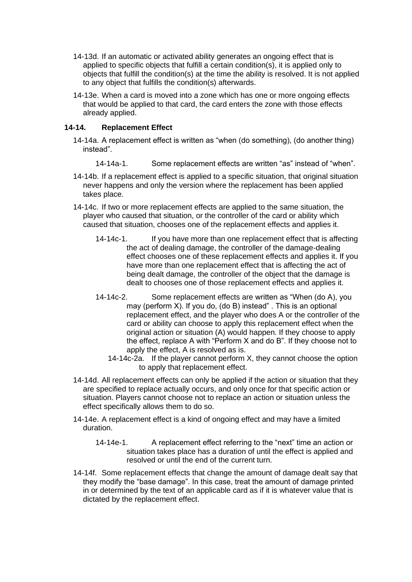- 14-13d. If an automatic or activated ability generates an ongoing effect that is applied to specific objects that fulfill a certain condition(s), it is applied only to objects that fulfill the condition(s) at the time the ability is resolved. It is not applied to any object that fulfills the condition(s) afterwards.
- 14-13e. When a card is moved into a zone which has one or more ongoing effects that would be applied to that card, the card enters the zone with those effects already applied.

## **14-14. Replacement Effect**

- 14-14a. A replacement effect is written as "when (do something), (do another thing) instead".
	- 14-14a-1. Some replacement effects are written "as" instead of "when".
- 14-14b. If a replacement effect is applied to a specific situation, that original situation never happens and only the version where the replacement has been applied takes place.
- 14-14c. If two or more replacement effects are applied to the same situation, the player who caused that situation, or the controller of the card or ability which caused that situation, chooses one of the replacement effects and applies it.
	- 14-14c-1. If you have more than one replacement effect that is affecting the act of dealing damage, the controller of the damage-dealing effect chooses one of these replacement effects and applies it. If you have more than one replacement effect that is affecting the act of being dealt damage, the controller of the object that the damage is dealt to chooses one of those replacement effects and applies it.
	- 14-14c-2. Some replacement effects are written as "When (do A), you may (perform X). If you do, (do B) instead" . This is an optional replacement effect, and the player who does A or the controller of the card or ability can choose to apply this replacement effect when the original action or situation (A) would happen. If they choose to apply the effect, replace A with "Perform X and do B". If they choose not to apply the effect, A is resolved as is.
		- 14-14c-2a. If the player cannot perform X, they cannot choose the option to apply that replacement effect.
- 14-14d. All replacement effects can only be applied if the action or situation that they are specified to replace actually occurs, and only once for that specific action or situation. Players cannot choose not to replace an action or situation unless the effect specifically allows them to do so.
- 14-14e. A replacement effect is a kind of ongoing effect and may have a limited duration.
	- 14-14e-1. A replacement effect referring to the "next" time an action or situation takes place has a duration of until the effect is applied and resolved or until the end of the current turn.
- 14-14f. Some replacement effects that change the amount of damage dealt say that they modify the "base damage". In this case, treat the amount of damage printed in or determined by the text of an applicable card as if it is whatever value that is dictated by the replacement effect.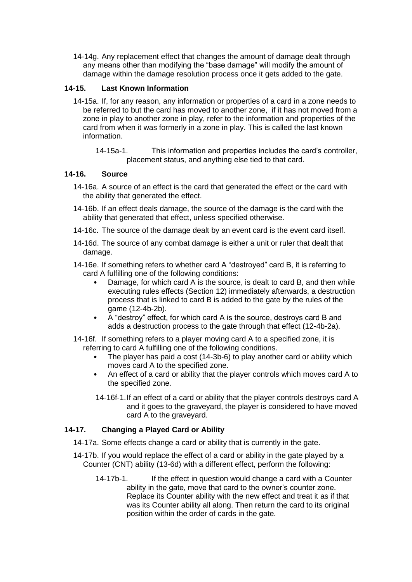14-14g. Any replacement effect that changes the amount of damage dealt through any means other than modifying the "base damage" will modify the amount of damage within the damage resolution process once it gets added to the gate.

# **14-15. Last Known Information**

14-15a. If, for any reason, any information or properties of a card in a zone needs to be referred to but the card has moved to another zone, if it has not moved from a zone in play to another zone in play, refer to the information and properties of the card from when it was formerly in a zone in play. This is called the last known information.

14-15a-1. This information and properties includes the card's controller, placement status, and anything else tied to that card.

### **14-16. Source**

- 14-16a. A source of an effect is the card that generated the effect or the card with the ability that generated the effect.
- 14-16b. If an effect deals damage, the source of the damage is the card with the ability that generated that effect, unless specified otherwise.
- 14-16c. The source of the damage dealt by an event card is the event card itself.
- 14-16d. The source of any combat damage is either a unit or ruler that dealt that damage.
- 14-16e. If something refers to whether card A "destroyed" card B, it is referring to card A fulfilling one of the following conditions:
	- Damage, for which card A is the source, is dealt to card B, and then while executing rules effects (Section 12) immediately afterwards, a destruction process that is linked to card B is added to the gate by the rules of the game (12-4b-2b).
	- A "destroy" effect, for which card A is the source, destroys card B and adds a destruction process to the gate through that effect (12-4b-2a).
- 14-16f. If something refers to a player moving card A to a specified zone, it is referring to card A fulfilling one of the following conditions.
	- The player has paid a cost (14-3b-6) to play another card or ability which moves card A to the specified zone.
	- An effect of a card or ability that the player controls which moves card A to the specified zone.
	- 14-16f-1.If an effect of a card or ability that the player controls destroys card A and it goes to the graveyard, the player is considered to have moved card A to the graveyard.

# **14-17. Changing a Played Card or Ability**

- 14-17a. Some effects change a card or ability that is currently in the gate.
- 14-17b. If you would replace the effect of a card or ability in the gate played by a Counter (CNT) ability (13-6d) with a different effect, perform the following:
	- 14-17b-1. If the effect in question would change a card with a Counter ability in the gate, move that card to the owner's counter zone. Replace its Counter ability with the new effect and treat it as if that was its Counter ability all along. Then return the card to its original position within the order of cards in the gate.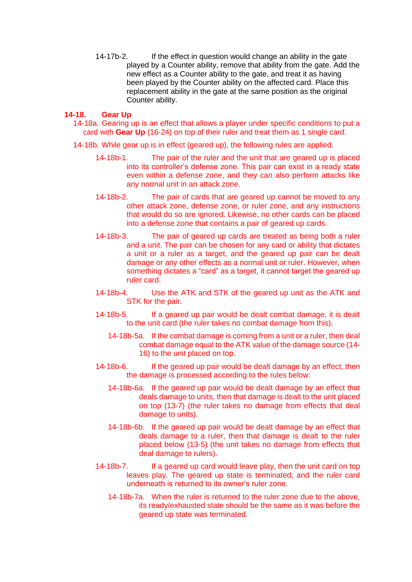14-17b-2. If the effect in question would change an ability in the gate played by a Counter ability, remove that ability from the gate. Add the new effect as a Counter ability to the gate, and treat it as having been played by the Counter ability on the affected card. Place this replacement ability in the gate at the same position as the original Counter ability.

### **14-18. Gear Up**

- 14-18a. Gearing up is an effect that allows a player under specific conditions to put a card with **Gear Up** (16-24) on top of their ruler and treat them as 1 single card.
- 14-18b. While gear up is in effect (geared up), the following rules are applied.
	- 14-18b-1. The pair of the ruler and the unit that are geared up is placed into its controller's defense zone. This pair can exist in a ready state even within a defense zone, and they can also perform attacks like any normal unit in an attack zone.
	- 14-18b-2. The pair of cards that are geared up cannot be moved to any other attack zone, defense zone, or ruler zone, and any instructions that would do so are ignored. Likewise, no other cards can be placed into a defense zone that contains a pair of geared up cards.
	- 14-18b-3. The pair of geared up cards are treated as being both a ruler and a unit. The pair can be chosen for any card or ability that dictates a unit or a ruler as a target, and the geared up pair can be dealt damage or any other effects as a normal unit or ruler. However, when something dictates a "card" as a target, it cannot target the geared up ruler card.
	- 14-18b-4. Use the ATK and STK of the geared up unit as the ATK and STK for the pair.
	- 14-18b-5. If a geared up pair would be dealt combat damage, it is dealt to the unit card (the ruler takes no combat damage from this).
		- 14-18b-5a. If the combat damage is coming from a unit or a ruler, then deal combat damage equal to the ATK value of the damage source (14- 16) to the unit placed on top.
	- 14-18b-6. If the geared up pair would be dealt damage by an effect, then the damage is processed according to the rules below:
		- 14-18b-6a. If the geared up pair would be dealt damage by an effect that deals damage to units, then that damage is dealt to the unit placed on top (13-7) (the ruler takes no damage from effects that deal damage to units).
		- 14-18b-6b. If the geared up pair would be dealt damage by an effect that deals damage to a ruler, then that damage is dealt to the ruler placed below (13-5) (the unit takes no damage from effects that deal damage to rulers).
	- 14-18b-7. If a geared up card would leave play, then the unit card on top leaves play. The geared up state is terminated, and the ruler card underneath is returned to its owner's ruler zone.
		- 14-18b-7a. When the ruler is returned to the ruler zone due to the above, its ready/exhausted state should be the same as it was before the geared up state was terminated.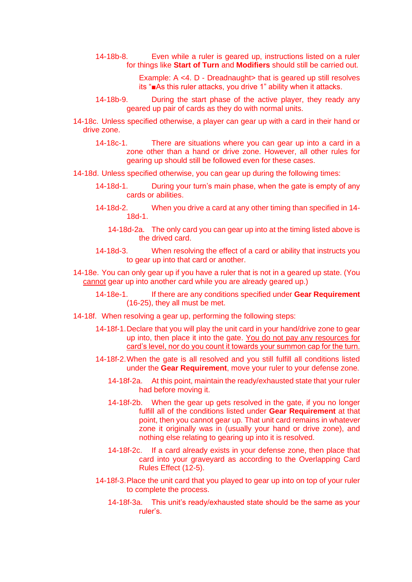- 14-18b-8. Even while a ruler is geared up, instructions listed on a ruler for things like **Start of Turn** and **Modifiers** should still be carried out.
	- Example: A <4. D Dreadnaught> that is geared up still resolves its "■As this ruler attacks, you drive 1" ability when it attacks.
- 14-18b-9. During the start phase of the active player, they ready any geared up pair of cards as they do with normal units.
- 14-18c. Unless specified otherwise, a player can gear up with a card in their hand or drive zone.
	- 14-18c-1. There are situations where you can gear up into a card in a zone other than a hand or drive zone. However, all other rules for gearing up should still be followed even for these cases.
- 14-18d. Unless specified otherwise, you can gear up during the following times:
	- 14-18d-1. During your turn's main phase, when the gate is empty of any cards or abilities.
	- 14-18d-2. When you drive a card at any other timing than specified in 14- 18d-1.
		- 14-18d-2a. The only card you can gear up into at the timing listed above is the drived card.
	- 14-18d-3. When resolving the effect of a card or ability that instructs you to gear up into that card or another.
- 14-18e. You can only gear up if you have a ruler that is not in a geared up state. (You cannot gear up into another card while you are already geared up.)
	- 14-18e-1. If there are any conditions specified under **Gear Requirement**  (16-25), they all must be met.
- 14-18f. When resolving a gear up, performing the following steps:
	- 14-18f-1.Declare that you will play the unit card in your hand/drive zone to gear up into, then place it into the gate. You do not pay any resources for card's level, nor do you count it towards your summon cap for the turn.
	- 14-18f-2.When the gate is all resolved and you still fulfill all conditions listed under the **Gear Requirement**, move your ruler to your defense zone.
		- 14-18f-2a. At this point, maintain the ready/exhausted state that your ruler had before moving it.
		- 14-18f-2b. When the gear up gets resolved in the gate, if you no longer fulfill all of the conditions listed under **Gear Requirement** at that point, then you cannot gear up. That unit card remains in whatever zone it originally was in (usually your hand or drive zone), and nothing else relating to gearing up into it is resolved.
		- 14-18f-2c. If a card already exists in your defense zone, then place that card into your graveyard as according to the Overlapping Card Rules Effect (12-5).
	- 14-18f-3.Place the unit card that you played to gear up into on top of your ruler to complete the process.
		- 14-18f-3a. This unit's ready/exhausted state should be the same as your ruler's.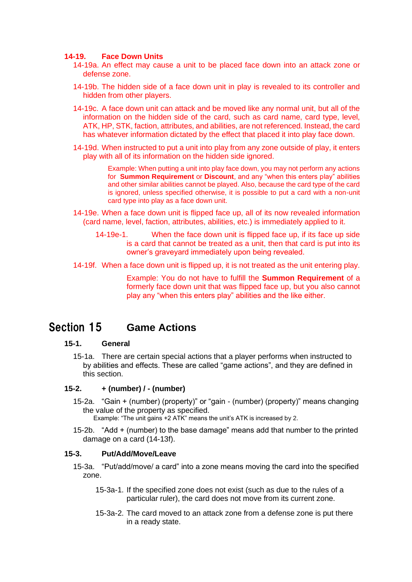#### **14-19. Face Down Units**

- 14-19a. An effect may cause a unit to be placed face down into an attack zone or defense zone.
- 14-19b. The hidden side of a face down unit in play is revealed to its controller and hidden from other players.
- 14-19c. A face down unit can attack and be moved like any normal unit, but all of the information on the hidden side of the card, such as card name, card type, level, ATK, HP, STK, faction, attributes, and abilities, are not referenced. Instead, the card has whatever information dictated by the effect that placed it into play face down.
- 14-19d. When instructed to put a unit into play from any zone outside of play, it enters play with all of its information on the hidden side ignored.

Example: When putting a unit into play face down, you may not perform any actions for **Summon Requirement** or **Discount**, and any "when this enters play" abilities and other similar abilities cannot be played. Also, because the card type of the card is ignored, unless specified otherwise, it is possible to put a card with a non-unit card type into play as a face down unit.

- 14-19e. When a face down unit is flipped face up, all of its now revealed information (card name, level, faction, attributes, abilities, etc.) is immediately applied to it.
	- 14-19e-1. When the face down unit is flipped face up, if its face up side is a card that cannot be treated as a unit, then that card is put into its owner's graveyard immediately upon being revealed.
- 14-19f. When a face down unit is flipped up, it is not treated as the unit entering play.

Example: You do not have to fulfill the **Summon Requirement** of a formerly face down unit that was flipped face up, but you also cannot play any "when this enters play" abilities and the like either.

# <span id="page-41-0"></span>Section 15 **Game Actions**

#### **15-1. General**

15-1a. There are certain special actions that a player performs when instructed to by abilities and effects. These are called "game actions", and they are defined in this section.

#### **15-2. + (number) / - (number)**

- 15-2a. "Gain + (number) (property)" or "gain (number) (property)" means changing the value of the property as specified.
	- Example: "The unit gains +2 ATK" means the unit's ATK is increased by 2.
- 15-2b. "Add + (number) to the base damage" means add that number to the printed damage on a card (14-13f).

#### **15-3. Put/Add/Move/Leave**

- 15-3a. "Put/add/move/ a card" into a zone means moving the card into the specified zone.
	- 15-3a-1. If the specified zone does not exist (such as due to the rules of a particular ruler), the card does not move from its current zone.
	- 15-3a-2. The card moved to an attack zone from a defense zone is put there in a ready state.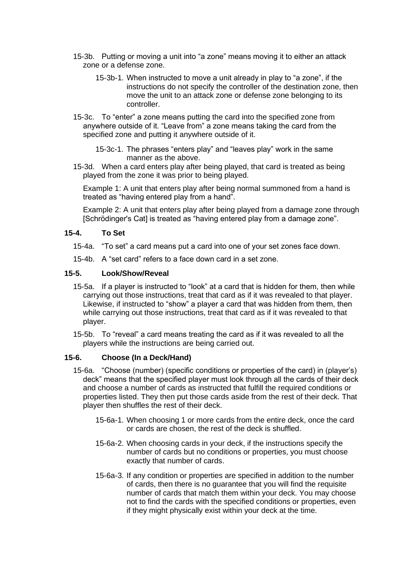- 15-3b. Putting or moving a unit into "a zone" means moving it to either an attack zone or a defense zone.
	- 15-3b-1. When instructed to move a unit already in play to "a zone", if the instructions do not specify the controller of the destination zone, then move the unit to an attack zone or defense zone belonging to its controller.
- 15-3c. To "enter" a zone means putting the card into the specified zone from anywhere outside of it. "Leave from" a zone means taking the card from the specified zone and putting it anywhere outside of it.
	- 15-3c-1. The phrases "enters play" and "leaves play" work in the same manner as the above.
- 15-3d. When a card enters play after being played, that card is treated as being played from the zone it was prior to being played.

Example 1: A unit that enters play after being normal summoned from a hand is treated as "having entered play from a hand".

Example 2: A unit that enters play after being played from a damage zone through [Schrödinger's Cat] is treated as "having entered play from a damage zone".

### **15-4. To Set**

- 15-4a. "To set" a card means put a card into one of your set zones face down.
- 15-4b. A "set card" refers to a face down card in a set zone.

### **15-5. Look/Show/Reveal**

- 15-5a. If a player is instructed to "look" at a card that is hidden for them, then while carrying out those instructions, treat that card as if it was revealed to that player. Likewise, if instructed to "show" a player a card that was hidden from them, then while carrying out those instructions, treat that card as if it was revealed to that player.
- 15-5b. To "reveal" a card means treating the card as if it was revealed to all the players while the instructions are being carried out.

### **15-6. Choose (In a Deck/Hand)**

- 15-6a. "Choose (number) (specific conditions or properties of the card) in (player's) deck" means that the specified player must look through all the cards of their deck and choose a number of cards as instructed that fulfill the required conditions or properties listed. They then put those cards aside from the rest of their deck. That player then shuffles the rest of their deck.
	- 15-6a-1. When choosing 1 or more cards from the entire deck, once the card or cards are chosen, the rest of the deck is shuffled.
	- 15-6a-2. When choosing cards in your deck, if the instructions specify the number of cards but no conditions or properties, you must choose exactly that number of cards.
	- 15-6a-3. If any condition or properties are specified in addition to the number of cards, then there is no guarantee that you will find the requisite number of cards that match them within your deck. You may choose not to find the cards with the specified conditions or properties, even if they might physically exist within your deck at the time.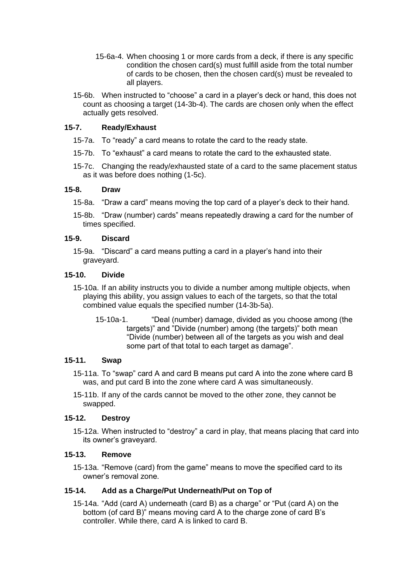- 15-6a-4. When choosing 1 or more cards from a deck, if there is any specific condition the chosen card(s) must fulfill aside from the total number of cards to be chosen, then the chosen card(s) must be revealed to all players.
- 15-6b. When instructed to "choose" a card in a player's deck or hand, this does not count as choosing a target (14-3b-4). The cards are chosen only when the effect actually gets resolved.

## **15-7. Ready/Exhaust**

- 15-7a. To "ready" a card means to rotate the card to the ready state.
- 15-7b. To "exhaust" a card means to rotate the card to the exhausted state.
- 15-7c. Changing the ready/exhausted state of a card to the same placement status as it was before does nothing (1-5c).

#### **15-8. Draw**

- 15-8a. "Draw a card" means moving the top card of a player's deck to their hand.
- 15-8b. "Draw (number) cards" means repeatedly drawing a card for the number of times specified.

#### **15-9. Discard**

15-9a. "Discard" a card means putting a card in a player's hand into their graveyard.

#### **15-10. Divide**

- 15-10a. If an ability instructs you to divide a number among multiple objects, when playing this ability, you assign values to each of the targets, so that the total combined value equals the specified number (14-3b-5a).
	- 15-10a-1. "Deal (number) damage, divided as you choose among (the targets)" and "Divide (number) among (the targets)" both mean "Divide (number) between all of the targets as you wish and deal some part of that total to each target as damage".

### **15-11. Swap**

- 15-11a. To "swap" card A and card B means put card A into the zone where card B was, and put card B into the zone where card A was simultaneously.
- 15-11b. If any of the cards cannot be moved to the other zone, they cannot be swapped.

### **15-12. Destroy**

15-12a. When instructed to "destroy" a card in play, that means placing that card into its owner's graveyard.

#### **15-13. Remove**

15-13a. "Remove (card) from the game" means to move the specified card to its owner's removal zone.

### **15-14. Add as a Charge/Put Underneath/Put on Top of**

15-14a. "Add (card A) underneath (card B) as a charge" or "Put (card A) on the bottom (of card B)" means moving card A to the charge zone of card B's controller. While there, card A is linked to card B.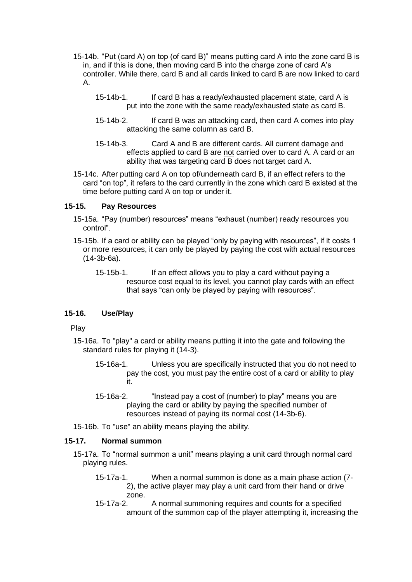- 15-14b. "Put (card A) on top (of card B)" means putting card A into the zone card B is in, and if this is done, then moving card B into the charge zone of card A's controller. While there, card B and all cards linked to card B are now linked to card A.
	- 15-14b-1. If card B has a ready/exhausted placement state, card A is put into the zone with the same ready/exhausted state as card B.
	- 15-14b-2. If card B was an attacking card, then card A comes into play attacking the same column as card B.
	- 15-14b-3. Card A and B are different cards. All current damage and effects applied to card B are not carried over to card A. A card or an ability that was targeting card B does not target card A.
- 15-14c. After putting card A on top of/underneath card B, if an effect refers to the card "on top", it refers to the card currently in the zone which card B existed at the time before putting card A on top or under it.

#### **15-15. Pay Resources**

- 15-15a. "Pay (number) resources" means "exhaust (number) ready resources you control".
- 15-15b. If a card or ability can be played "only by paying with resources", if it costs 1 or more resources, it can only be played by paying the cost with actual resources (14-3b-6a).
	- 15-15b-1. If an effect allows you to play a card without paying a resource cost equal to its level, you cannot play cards with an effect that says "can only be played by paying with resources".

### **15-16. Use/Play**

Play

- 15-16a. To "play" a card or ability means putting it into the gate and following the standard rules for playing it (14-3).
	- 15-16a-1. Unless you are specifically instructed that you do not need to pay the cost, you must pay the entire cost of a card or ability to play it.
	- 15-16a-2. "Instead pay a cost of (number) to play" means you are playing the card or ability by paying the specified number of resources instead of paying its normal cost (14-3b-6).
- 15-16b. To "use" an ability means playing the ability.

### **15-17. Normal summon**

- 15-17a. To "normal summon a unit" means playing a unit card through normal card playing rules.
	- 15-17a-1. When a normal summon is done as a main phase action (7- 2), the active player may play a unit card from their hand or drive zone.
	- 15-17a-2. A normal summoning requires and counts for a specified amount of the summon cap of the player attempting it, increasing the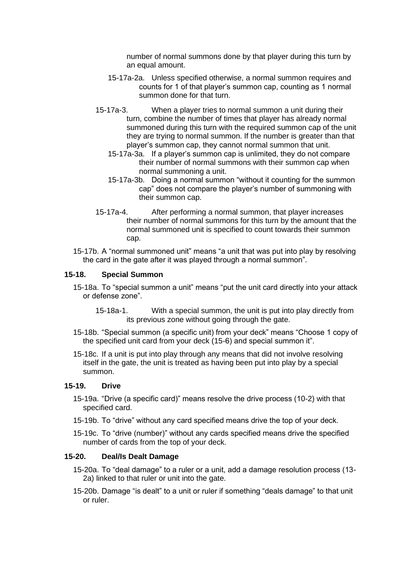number of normal summons done by that player during this turn by an equal amount.

- 15-17a-2a. Unless specified otherwise, a normal summon requires and counts for 1 of that player's summon cap, counting as 1 normal summon done for that turn.
- 15-17a-3. When a player tries to normal summon a unit during their turn, combine the number of times that player has already normal summoned during this turn with the required summon cap of the unit they are trying to normal summon. If the number is greater than that player's summon cap, they cannot normal summon that unit.
	- 15-17a-3a. If a player's summon cap is unlimited, they do not compare their number of normal summons with their summon cap when normal summoning a unit.
	- 15-17a-3b. Doing a normal summon "without it counting for the summon cap" does not compare the player's number of summoning with their summon cap.
- 15-17a-4. After performing a normal summon, that player increases their number of normal summons for this turn by the amount that the normal summoned unit is specified to count towards their summon cap.
- 15-17b. A "normal summoned unit" means "a unit that was put into play by resolving the card in the gate after it was played through a normal summon".

### **15-18. Special Summon**

- 15-18a. To "special summon a unit" means "put the unit card directly into your attack or defense zone".
	- 15-18a-1. With a special summon, the unit is put into play directly from its previous zone without going through the gate.
- 15-18b. "Special summon (a specific unit) from your deck" means "Choose 1 copy of the specified unit card from your deck (15-6) and special summon it".
- 15-18c. If a unit is put into play through any means that did not involve resolving itself in the gate, the unit is treated as having been put into play by a special summon.

### **15-19. Drive**

- 15-19a. "Drive (a specific card)" means resolve the drive process (10-2) with that specified card.
- 15-19b. To "drive" without any card specified means drive the top of your deck.
- 15-19c. To "drive (number)" without any cards specified means drive the specified number of cards from the top of your deck.

### **15-20. Deal/Is Dealt Damage**

- 15-20a. To "deal damage" to a ruler or a unit, add a damage resolution process (13- 2a) linked to that ruler or unit into the gate.
- 15-20b. Damage "is dealt" to a unit or ruler if something "deals damage" to that unit or ruler.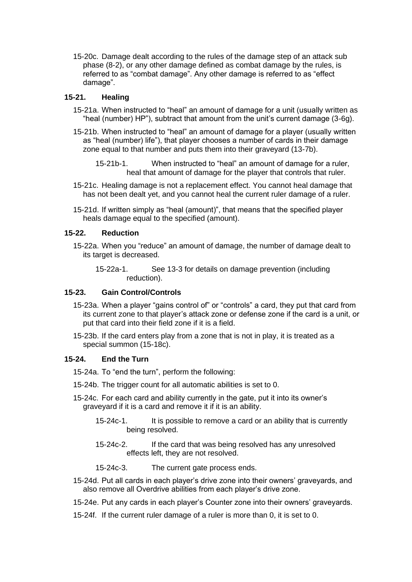15-20c. Damage dealt according to the rules of the damage step of an attack sub phase (8-2), or any other damage defined as combat damage by the rules, is referred to as "combat damage". Any other damage is referred to as "effect damage".

## **15-21. Healing**

- 15-21a. When instructed to "heal" an amount of damage for a unit (usually written as "heal (number) HP"), subtract that amount from the unit's current damage (3-6g).
- 15-21b. When instructed to "heal" an amount of damage for a player (usually written as "heal (number) life"), that player chooses a number of cards in their damage zone equal to that number and puts them into their graveyard (13-7b).
	- 15-21b-1. When instructed to "heal" an amount of damage for a ruler, heal that amount of damage for the player that controls that ruler.
- 15-21c. Healing damage is not a replacement effect. You cannot heal damage that has not been dealt yet, and you cannot heal the current ruler damage of a ruler.
- 15-21d. If written simply as "heal (amount)", that means that the specified player heals damage equal to the specified (amount).

### **15-22. Reduction**

- 15-22a. When you "reduce" an amount of damage, the number of damage dealt to its target is decreased.
	- 15-22a-1. See 13-3 for details on damage prevention (including reduction).

### **15-23. Gain Control/Controls**

- 15-23a. When a player "gains control of" or "controls" a card, they put that card from its current zone to that player's attack zone or defense zone if the card is a unit, or put that card into their field zone if it is a field.
- 15-23b. If the card enters play from a zone that is not in play, it is treated as a special summon (15-18c).

### **15-24. End the Turn**

15-24a. To "end the turn", perform the following:

- 15-24b. The trigger count for all automatic abilities is set to 0.
- 15-24c. For each card and ability currently in the gate, put it into its owner's graveyard if it is a card and remove it if it is an ability.
	- 15-24c-1. It is possible to remove a card or an ability that is currently being resolved.
	- 15-24c-2. If the card that was being resolved has any unresolved effects left, they are not resolved.
	- 15-24c-3. The current gate process ends.
- 15-24d. Put all cards in each player's drive zone into their owners' graveyards, and also remove all Overdrive abilities from each player's drive zone.
- 15-24e. Put any cards in each player's Counter zone into their owners' graveyards.
- 15-24f. If the current ruler damage of a ruler is more than 0, it is set to 0.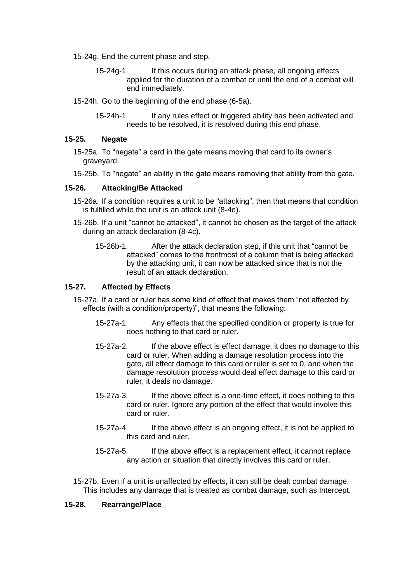- 15-24g. End the current phase and step.
	- 15-24g-1. If this occurs during an attack phase, all ongoing effects applied for the duration of a combat or until the end of a combat will end immediately.
- 15-24h. Go to the beginning of the end phase (6-5a).
	- 15-24h-1. If any rules effect or triggered ability has been activated and needs to be resolved, it is resolved during this end phase.

#### **15-25. Negate**

- 15-25a. To "negate" a card in the gate means moving that card to its owner's graveyard.
- 15-25b. To "negate" an ability in the gate means removing that ability from the gate.

#### **15-26. Attacking/Be Attacked**

- 15-26a. If a condition requires a unit to be "attacking", then that means that condition is fulfilled while the unit is an attack unit (8-4e).
- 15-26b. If a unit "cannot be attacked", it cannot be chosen as the target of the attack during an attack declaration (8-4c).
	- 15-26b-1. After the attack declaration step, if this unit that "cannot be attacked" comes to the frontmost of a column that is being attacked by the attacking unit, it can now be attacked since that is not the result of an attack declaration.

#### **15-27. Affected by Effects**

- 15-27a. If a card or ruler has some kind of effect that makes them "not affected by effects (with a condition/property)", that means the following:
	- 15-27a-1. Any effects that the specified condition or property is true for does nothing to that card or ruler.
	- 15-27a-2. If the above effect is effect damage, it does no damage to this card or ruler. When adding a damage resolution process into the gate, all effect damage to this card or ruler is set to 0, and when the damage resolution process would deal effect damage to this card or ruler, it deals no damage.
	- 15-27a-3. If the above effect is a one-time effect, it does nothing to this card or ruler. Ignore any portion of the effect that would involve this card or ruler.
	- 15-27a-4. If the above effect is an ongoing effect, it is not be applied to this card and ruler.
	- 15-27a-5. If the above effect is a replacement effect, it cannot replace any action or situation that directly involves this card or ruler.

15-27b. Even if a unit is unaffected by effects, it can still be dealt combat damage. This includes any damage that is treated as combat damage, such as Intercept.

### **15-28. Rearrange/Place**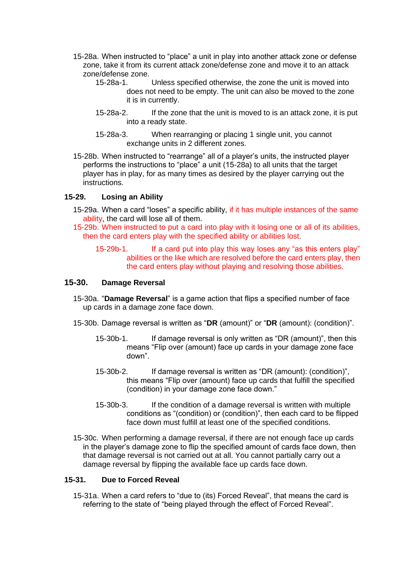- 15-28a. When instructed to "place" a unit in play into another attack zone or defense zone, take it from its current attack zone/defense zone and move it to an attack zone/defense zone.
	- 15-28a-1. Unless specified otherwise, the zone the unit is moved into does not need to be empty. The unit can also be moved to the zone it is in currently.
	- 15-28a-2. If the zone that the unit is moved to is an attack zone, it is put into a ready state.
	- 15-28a-3. When rearranging or placing 1 single unit, you cannot exchange units in 2 different zones.
- 15-28b. When instructed to "rearrange" all of a player's units, the instructed player performs the instructions to "place" a unit (15-28a) to all units that the target player has in play, for as many times as desired by the player carrying out the instructions.

#### **15-29. Losing an Ability**

- 15-29a. When a card "loses" a specific ability, if it has multiple instances of the same ability, the card will lose all of them.
- 15-29b. When instructed to put a card into play with it losing one or all of its abilities, then the card enters play with the specified ability or abilities lost.
	- 15-29b-1. If a card put into play this way loses any "as this enters play" abilities or the like which are resolved before the card enters play, then the card enters play without playing and resolving those abilities.

#### **15-30. Damage Reversal**

- 15-30a. "**Damage Reversal**" is a game action that flips a specified number of face up cards in a damage zone face down.
- 15-30b. Damage reversal is written as "**DR** (amount)" or "**DR** (amount): (condition)".
	- 15-30b-1. If damage reversal is only written as "DR (amount)", then this means "Flip over (amount) face up cards in your damage zone face down".
	- 15-30b-2. If damage reversal is written as "DR (amount): (condition)", this means "Flip over (amount) face up cards that fulfill the specified (condition) in your damage zone face down."
	- 15-30b-3. If the condition of a damage reversal is written with multiple conditions as "(condition) or (condition)", then each card to be flipped face down must fulfill at least one of the specified conditions.
- 15-30c. When performing a damage reversal, if there are not enough face up cards in the player's damage zone to flip the specified amount of cards face down, then that damage reversal is not carried out at all. You cannot partially carry out a damage reversal by flipping the available face up cards face down.

#### **15-31. Due to Forced Reveal**

15-31a. When a card refers to "due to (its) Forced Reveal", that means the card is referring to the state of "being played through the effect of Forced Reveal".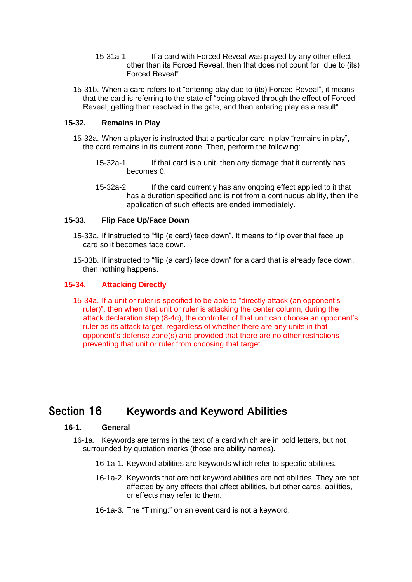- 15-31a-1. If a card with Forced Reveal was played by any other effect other than its Forced Reveal, then that does not count for "due to (its) Forced Reveal".
- 15-31b. When a card refers to it "entering play due to (its) Forced Reveal", it means that the card is referring to the state of "being played through the effect of Forced Reveal, getting then resolved in the gate, and then entering play as a result".

### **15-32. Remains in Play**

- 15-32a. When a player is instructed that a particular card in play "remains in play", the card remains in its current zone. Then, perform the following:
	- 15-32a-1. If that card is a unit, then any damage that it currently has becomes 0.
	- 15-32a-2. If the card currently has any ongoing effect applied to it that has a duration specified and is not from a continuous ability, then the application of such effects are ended immediately.

### **15-33. Flip Face Up/Face Down**

- 15-33a. If instructed to "flip (a card) face down", it means to flip over that face up card so it becomes face down.
- 15-33b. If instructed to "flip (a card) face down" for a card that is already face down, then nothing happens.

### **15-34. Attacking Directly**

15-34a. If a unit or ruler is specified to be able to "directly attack (an opponent's ruler)", then when that unit or ruler is attacking the center column, during the attack declaration step (8-4c), the controller of that unit can choose an opponent's ruler as its attack target, regardless of whether there are any units in that opponent's defense zone(s) and provided that there are no other restrictions preventing that unit or ruler from choosing that target.

# <span id="page-49-0"></span>Section 16 **Keywords and Keyword Abilities**

#### **16-1. General**

- 16-1a. Keywords are terms in the text of a card which are in bold letters, but not surrounded by quotation marks (those are ability names).
	- 16-1a-1. Keyword abilities are keywords which refer to specific abilities.
	- 16-1a-2. Keywords that are not keyword abilities are not abilities. They are not affected by any effects that affect abilities, but other cards, abilities, or effects may refer to them.
	- 16-1a-3. The "Timing:" on an event card is not a keyword.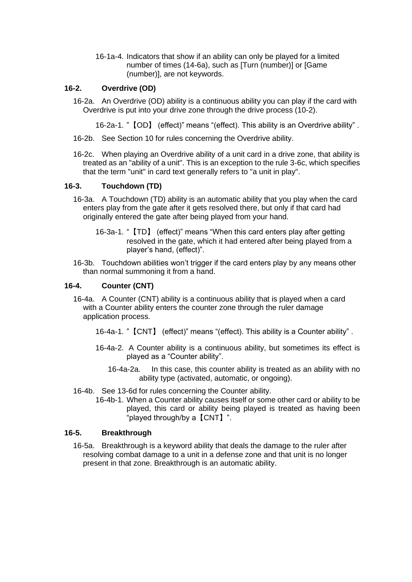16-1a-4. Indicators that show if an ability can only be played for a limited number of times (14-6a), such as [Turn (number)] or [Game (number)], are not keywords.

## **16-2. Overdrive (OD)**

16-2a. An Overdrive (OD) ability is a continuous ability you can play if the card with Overdrive is put into your drive zone through the drive process (10-2).

16-2a-1. "【OD】 (effect)" means "(effect). This ability is an Overdrive ability" .

- 16-2b. See Section 10 for rules concerning the Overdrive ability.
- 16-2c. When playing an Overdrive ability of a unit card in a drive zone, that ability is treated as an "ability of a unit". This is an exception to the rule 3-6c, which specifies that the term "unit" in card text generally refers to "a unit in play".

### **16-3. Touchdown (TD)**

- 16-3a. A Touchdown (TD) ability is an automatic ability that you play when the card enters play from the gate after it gets resolved there, but only if that card had originally entered the gate after being played from your hand.
	- 16-3a-1. "【TD】 (effect)" means "When this card enters play after getting resolved in the gate, which it had entered after being played from a player's hand, (effect)".
- 16-3b. Touchdown abilities won't trigger if the card enters play by any means other than normal summoning it from a hand.

#### **16-4. Counter (CNT)**

- 16-4a. A Counter (CNT) ability is a continuous ability that is played when a card with a Counter ability enters the counter zone through the ruler damage application process.
	- 16-4a-1. "【CNT】 (effect)" means "(effect). This ability is a Counter ability" .
	- 16-4a-2. A Counter ability is a continuous ability, but sometimes its effect is played as a "Counter ability".
		- 16-4a-2a. In this case, this counter ability is treated as an ability with no ability type (activated, automatic, or ongoing).

#### 16-4b. See 13-6d for rules concerning the Counter ability.

16-4b-1. When a Counter ability causes itself or some other card or ability to be played, this card or ability being played is treated as having been "played through/by a【CNT】".

#### **16-5. Breakthrough**

16-5a. Breakthrough is a keyword ability that deals the damage to the ruler after resolving combat damage to a unit in a defense zone and that unit is no longer present in that zone. Breakthrough is an automatic ability.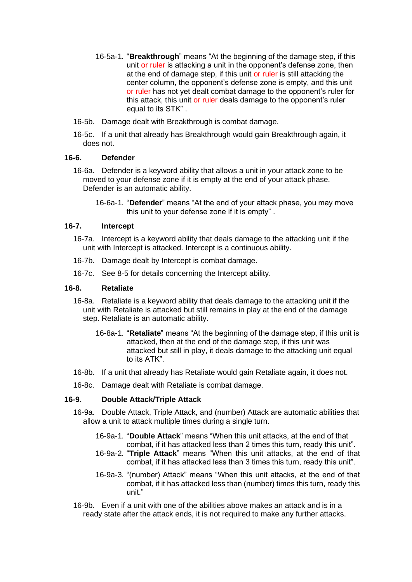- 16-5a-1. "**Breakthrough**" means "At the beginning of the damage step, if this unit or ruler is attacking a unit in the opponent's defense zone, then at the end of damage step, if this unit or ruler is still attacking the center column, the opponent's defense zone is empty, and this unit or ruler has not yet dealt combat damage to the opponent's ruler for this attack, this unit or ruler deals damage to the opponent's ruler equal to its STK" .
- 16-5b. Damage dealt with Breakthrough is combat damage.
- 16-5c. If a unit that already has Breakthrough would gain Breakthrough again, it does not.

#### **16-6. Defender**

- 16-6a. Defender is a keyword ability that allows a unit in your attack zone to be moved to your defense zone if it is empty at the end of your attack phase. Defender is an automatic ability.
	- 16-6a-1. "**Defender**" means "At the end of your attack phase, you may move this unit to your defense zone if it is empty" .

#### **16-7. Intercept**

- 16-7a. Intercept is a keyword ability that deals damage to the attacking unit if the unit with Intercept is attacked. Intercept is a continuous ability.
- 16-7b. Damage dealt by Intercept is combat damage.
- 16-7c. See 8-5 for details concerning the Intercept ability.

#### **16-8. Retaliate**

- 16-8a. Retaliate is a keyword ability that deals damage to the attacking unit if the unit with Retaliate is attacked but still remains in play at the end of the damage step. Retaliate is an automatic ability.
	- 16-8a-1. "**Retaliate**" means "At the beginning of the damage step, if this unit is attacked, then at the end of the damage step, if this unit was attacked but still in play, it deals damage to the attacking unit equal to its ATK".
- 16-8b. If a unit that already has Retaliate would gain Retaliate again, it does not.
- 16-8c. Damage dealt with Retaliate is combat damage.

## **16-9. Double Attack/Triple Attack**

- 16-9a. Double Attack, Triple Attack, and (number) Attack are automatic abilities that allow a unit to attack multiple times during a single turn.
	- 16-9a-1. "**Double Attack**" means "When this unit attacks, at the end of that combat, if it has attacked less than 2 times this turn, ready this unit".
	- 16-9a-2. "**Triple Attack**" means "When this unit attacks, at the end of that combat, if it has attacked less than 3 times this turn, ready this unit".
	- 16-9a-3. "(number) Attack" means "When this unit attacks, at the end of that combat, if it has attacked less than (number) times this turn, ready this unit."
- 16-9b. Even if a unit with one of the abilities above makes an attack and is in a ready state after the attack ends, it is not required to make any further attacks.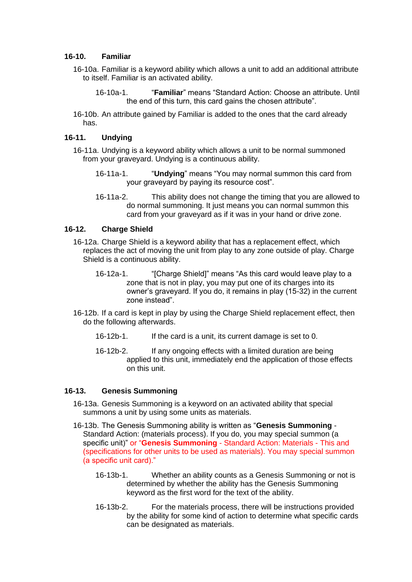#### **16-10. Familiar**

- 16-10a. Familiar is a keyword ability which allows a unit to add an additional attribute to itself. Familiar is an activated ability.
	- 16-10a-1. "**Familiar**" means "Standard Action: Choose an attribute. Until the end of this turn, this card gains the chosen attribute".
- 16-10b. An attribute gained by Familiar is added to the ones that the card already has.

#### **16-11. Undying**

- 16-11a. Undying is a keyword ability which allows a unit to be normal summoned from your graveyard. Undying is a continuous ability.
	- 16-11a-1. "**Undying**" means "You may normal summon this card from your graveyard by paying its resource cost".
	- 16-11a-2. This ability does not change the timing that you are allowed to do normal summoning. It just means you can normal summon this card from your graveyard as if it was in your hand or drive zone.

#### **16-12. Charge Shield**

- 16-12a. Charge Shield is a keyword ability that has a replacement effect, which replaces the act of moving the unit from play to any zone outside of play. Charge Shield is a continuous ability.
	- 16-12a-1. "[Charge Shield]" means "As this card would leave play to a zone that is not in play, you may put one of its charges into its owner's graveyard. If you do, it remains in play (15-32) in the current zone instead".
- 16-12b. If a card is kept in play by using the Charge Shield replacement effect, then do the following afterwards.
	- 16-12b-1. If the card is a unit, its current damage is set to 0.
	- 16-12b-2. If any ongoing effects with a limited duration are being applied to this unit, immediately end the application of those effects on this unit.

#### **16-13. Genesis Summoning**

- 16-13a. Genesis Summoning is a keyword on an activated ability that special summons a unit by using some units as materials.
- 16-13b. The Genesis Summoning ability is written as "**Genesis Summoning** Standard Action: (materials process). If you do, you may special summon (a specific unit)" or "**Genesis Summoning** - Standard Action: Materials - This and (specifications for other units to be used as materials). You may special summon (a specific unit card)."
	- 16-13b-1. Whether an ability counts as a Genesis Summoning or not is determined by whether the ability has the Genesis Summoning keyword as the first word for the text of the ability.
	- 16-13b-2. For the materials process, there will be instructions provided by the ability for some kind of action to determine what specific cards can be designated as materials.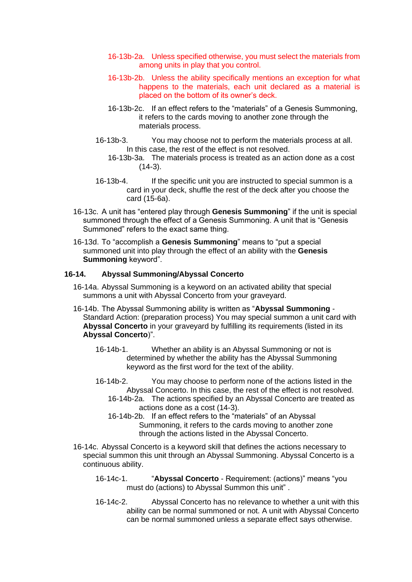- 16-13b-2a. Unless specified otherwise, you must select the materials from among units in play that you control.
- 16-13b-2b. Unless the ability specifically mentions an exception for what happens to the materials, each unit declared as a material is placed on the bottom of its owner's deck.
- 16-13b-2c. If an effect refers to the "materials" of a Genesis Summoning, it refers to the cards moving to another zone through the materials process.
- 16-13b-3. You may choose not to perform the materials process at all. In this case, the rest of the effect is not resolved.
	- 16-13b-3a. The materials process is treated as an action done as a cost  $(14-3)$ .
- 16-13b-4. If the specific unit you are instructed to special summon is a card in your deck, shuffle the rest of the deck after you choose the card (15-6a).
- 16-13c. A unit has "entered play through **Genesis Summoning**" if the unit is special summoned through the effect of a Genesis Summoning. A unit that is "Genesis Summoned" refers to the exact same thing.
- 16-13d. To "accomplish a **Genesis Summoning**" means to "put a special summoned unit into play through the effect of an ability with the **Genesis Summoning** keyword".

#### **16-14. Abyssal Summoning/Abyssal Concerto**

- 16-14a. Abyssal Summoning is a keyword on an activated ability that special summons a unit with Abyssal Concerto from your graveyard.
- 16-14b. The Abyssal Summoning ability is written as "**Abyssal Summoning**  Standard Action: (preparation process) You may special summon a unit card with **Abyssal Concerto** in your graveyard by fulfilling its requirements (listed in its **Abyssal Concerto**)".
	- 16-14b-1. Whether an ability is an Abyssal Summoning or not is determined by whether the ability has the Abyssal Summoning keyword as the first word for the text of the ability.
	- 16-14b-2. You may choose to perform none of the actions listed in the Abyssal Concerto. In this case, the rest of the effect is not resolved.
		- 16-14b-2a. The actions specified by an Abyssal Concerto are treated as actions done as a cost (14-3).
		- 16-14b-2b. If an effect refers to the "materials" of an Abyssal Summoning, it refers to the cards moving to another zone through the actions listed in the Abyssal Concerto.
- 16-14c. Abyssal Concerto is a keyword skill that defines the actions necessary to special summon this unit through an Abyssal Summoning. Abyssal Concerto is a continuous ability.
	- 16-14c-1. "**Abyssal Concerto**  Requirement: (actions)" means "you must do (actions) to Abyssal Summon this unit" .
	- 16-14c-2. Abyssal Concerto has no relevance to whether a unit with this ability can be normal summoned or not. A unit with Abyssal Concerto can be normal summoned unless a separate effect says otherwise.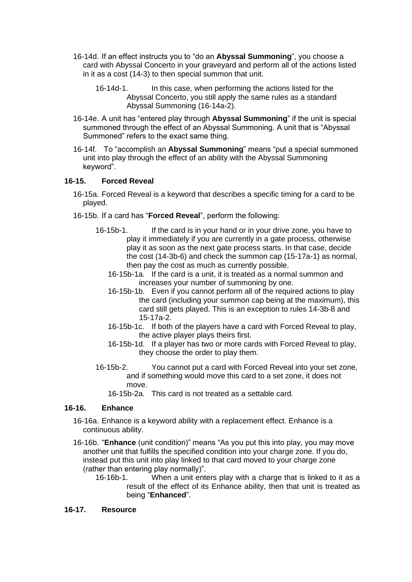- 16-14d. If an effect instructs you to "do an **Abyssal Summoning**", you choose a card with Abyssal Concerto in your graveyard and perform all of the actions listed in it as a cost (14-3) to then special summon that unit.
	- 16-14d-1. In this case, when performing the actions listed for the Abyssal Concerto, you still apply the same rules as a standard Abyssal Summoning (16-14a-2).
- 16-14e. A unit has "entered play through **Abyssal Summoning**" if the unit is special summoned through the effect of an Abyssal Summoning. A unit that is "Abyssal Summoned" refers to the exact same thing.
- 16-14f. To "accomplish an **Abyssal Summoning**" means "put a special summoned unit into play through the effect of an ability with the Abyssal Summoning keyword".

### **16-15. Forced Reveal**

- 16-15a. Forced Reveal is a keyword that describes a specific timing for a card to be played.
- 16-15b. If a card has "**Forced Reveal**", perform the following:
	- 16-15b-1. If the card is in your hand or in your drive zone, you have to play it immediately if you are currently in a gate process, otherwise play it as soon as the next gate process starts. In that case, decide the cost (14-3b-6) and check the summon cap (15-17a-1) as normal, then pay the cost as much as currently possible.
		- 16-15b-1a. If the card is a unit, it is treated as a normal summon and increases your number of summoning by one.
		- 16-15b-1b. Even if you cannot perform all of the required actions to play the card (including your summon cap being at the maximum), this card still gets played. This is an exception to rules 14-3b-8 and 15-17a-2.
		- 16-15b-1c. If both of the players have a card with Forced Reveal to play, the active player plays theirs first.
		- 16-15b-1d. If a player has two or more cards with Forced Reveal to play, they choose the order to play them.
	- 16-15b-2. You cannot put a card with Forced Reveal into your set zone, and if something would move this card to a set zone, it does not move.
		- 16-15b-2a. This card is not treated as a settable card.

### **16-16. Enhance**

- 16-16a. Enhance is a keyword ability with a replacement effect. Enhance is a continuous ability.
- 16-16b. "**Enhance** (unit condition)" means "As you put this into play, you may move another unit that fulfills the specified condition into your charge zone. If you do, instead put this unit into play linked to that card moved to your charge zone (rather than entering play normally)".
	- 16-16b-1. When a unit enters play with a charge that is linked to it as a result of the effect of its Enhance ability, then that unit is treated as being "**Enhanced**".

### **16-17. Resource**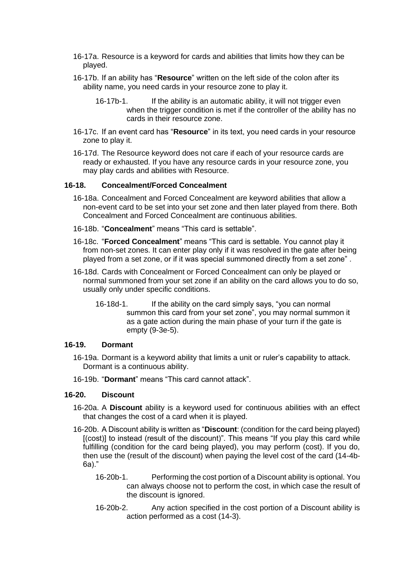- 16-17a. Resource is a keyword for cards and abilities that limits how they can be played.
- 16-17b. If an ability has "**Resource**" written on the left side of the colon after its ability name, you need cards in your resource zone to play it.
	- 16-17b-1. If the ability is an automatic ability, it will not trigger even when the trigger condition is met if the controller of the ability has no cards in their resource zone.
- 16-17c. If an event card has "**Resource**" in its text, you need cards in your resource zone to play it.
- 16-17d. The Resource keyword does not care if each of your resource cards are ready or exhausted. If you have any resource cards in your resource zone, you may play cards and abilities with Resource.

#### **16-18. Concealment/Forced Concealment**

- 16-18a. Concealment and Forced Concealment are keyword abilities that allow a non-event card to be set into your set zone and then later played from there. Both Concealment and Forced Concealment are continuous abilities.
- 16-18b. "**Concealment**" means "This card is settable".
- 16-18c. "**Forced Concealment**" means "This card is settable. You cannot play it from non-set zones. It can enter play only if it was resolved in the gate after being played from a set zone, or if it was special summoned directly from a set zone" .
- 16-18d. Cards with Concealment or Forced Concealment can only be played or normal summoned from your set zone if an ability on the card allows you to do so, usually only under specific conditions.
	- 16-18d-1. If the ability on the card simply says, "you can normal summon this card from your set zone", you may normal summon it as a gate action during the main phase of your turn if the gate is empty (9-3e-5).

#### **16-19. Dormant**

- 16-19a. Dormant is a keyword ability that limits a unit or ruler's capability to attack. Dormant is a continuous ability.
- 16-19b. "**Dormant**" means "This card cannot attack".

#### **16-20. Discount**

- 16-20a. A **Discount** ability is a keyword used for continuous abilities with an effect that changes the cost of a card when it is played.
- 16-20b. A Discount ability is written as "**Discount**: (condition for the card being played) [(cost)] to instead (result of the discount)". This means "If you play this card while fulfilling (condition for the card being played), you may perform (cost). If you do, then use the (result of the discount) when paying the level cost of the card (14-4b-6a)."
	- 16-20b-1. Performing the cost portion of a Discount ability is optional. You can always choose not to perform the cost, in which case the result of the discount is ignored.
	- 16-20b-2. Any action specified in the cost portion of a Discount ability is action performed as a cost (14-3).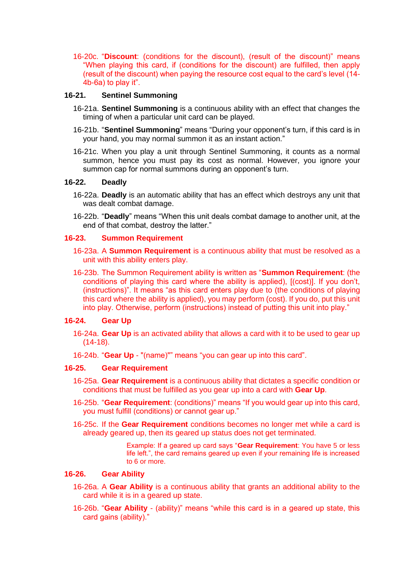16-20c. "**Discount**: (conditions for the discount), (result of the discount)" means "When playing this card, if (conditions for the discount) are fulfilled, then apply (result of the discount) when paying the resource cost equal to the card's level (14- 4b-6a) to play it".

#### **16-21. Sentinel Summoning**

- 16-21a. **Sentinel Summoning** is a continuous ability with an effect that changes the timing of when a particular unit card can be played.
- 16-21b. "**Sentinel Summoning**" means "During your opponent's turn, if this card is in your hand, you may normal summon it as an instant action."
- 16-21c. When you play a unit through Sentinel Summoning, it counts as a normal summon, hence you must pay its cost as normal. However, you ignore your summon cap for normal summons during an opponent's turn.

#### **16-22. Deadly**

- 16-22a. **Deadly** is an automatic ability that has an effect which destroys any unit that was dealt combat damage.
- 16-22b. "**Deadly**" means "When this unit deals combat damage to another unit, at the end of that combat, destroy the latter."

#### **16-23. Summon Requirement**

- 16-23a. A **Summon Requirement** is a continuous ability that must be resolved as a unit with this ability enters play.
- 16-23b. The Summon Requirement ability is written as "**Summon Requirement**: (the conditions of playing this card where the ability is applied), [(cost)]. If you don't, (instructions)". It means "as this card enters play due to (the conditions of playing this card where the ability is applied), you may perform (cost). If you do, put this unit into play. Otherwise, perform (instructions) instead of putting this unit into play."

### **16-24. Gear Up**

- 16-24a. **Gear Up** is an activated ability that allows a card with it to be used to gear up (14-18).
- 16-24b. "**Gear Up**  "(name)"" means "you can gear up into this card".

## **16-25. Gear Requirement**

- 16-25a. **Gear Requirement** is a continuous ability that dictates a specific condition or conditions that must be fulfilled as you gear up into a card with **Gear Up**.
- 16-25b. "**Gear Requirement**: (conditions)" means "If you would gear up into this card, you must fulfill (conditions) or cannot gear up."
- 16-25c. If the **Gear Requirement** conditions becomes no longer met while a card is already geared up, then its geared up status does not get terminated.

Example: If a geared up card says "**Gear Requirement**: You have 5 or less life left.", the card remains geared up even if your remaining life is increased to 6 or more.

#### **16-26. Gear Ability**

- 16-26a. A **Gear Ability** is a continuous ability that grants an additional ability to the card while it is in a geared up state.
- 16-26b. "**Gear Ability** (ability)" means "while this card is in a geared up state, this card gains (ability)."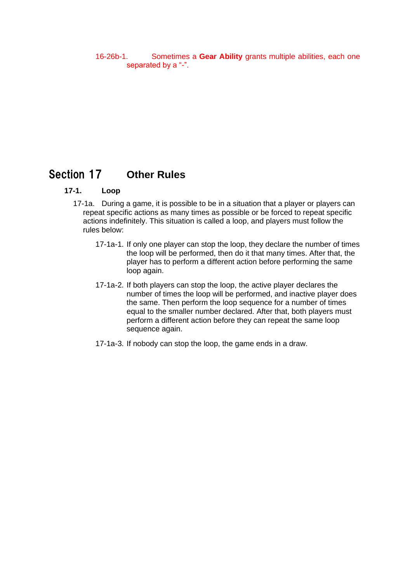16-26b-1. Sometimes a **Gear Ability** grants multiple abilities, each one separated by a "-".

# <span id="page-57-0"></span>Section 17 **Other Rules**

#### **17-1. Loop**

- 17-1a. During a game, it is possible to be in a situation that a player or players can repeat specific actions as many times as possible or be forced to repeat specific actions indefinitely. This situation is called a loop, and players must follow the rules below:
	- 17-1a-1. If only one player can stop the loop, they declare the number of times the loop will be performed, then do it that many times. After that, the player has to perform a different action before performing the same loop again.
	- 17-1a-2. If both players can stop the loop, the active player declares the number of times the loop will be performed, and inactive player does the same. Then perform the loop sequence for a number of times equal to the smaller number declared. After that, both players must perform a different action before they can repeat the same loop sequence again.
	- 17-1a-3. If nobody can stop the loop, the game ends in a draw.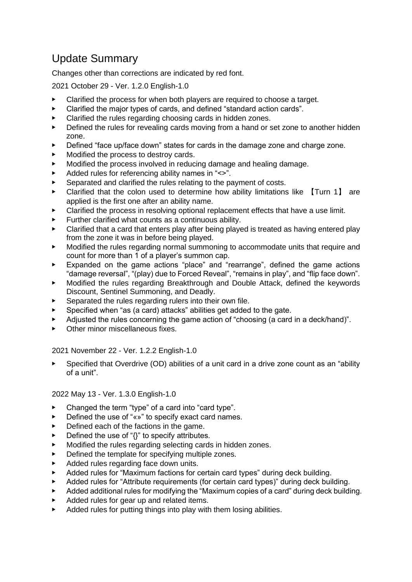# <span id="page-58-0"></span>Update Summary

Changes other than corrections are indicated by red font.

2021 October 29 - Ver. 1.2.0 English-1.0

- ▶ Clarified the process for when both players are required to choose a target.
- Clarified the major types of cards, and defined "standard action cards".
- ▶ Clarified the rules regarding choosing cards in hidden zones.
- ▶ Defined the rules for revealing cards moving from a hand or set zone to another hidden zone.
- Defined "face up/face down" states for cards in the damage zone and charge zone.
- Modified the process to destroy cards.
- Modified the process involved in reducing damage and healing damage.
- Added rules for referencing ability names in "<>".
- Separated and clarified the rules relating to the payment of costs.
- Clarified that the colon used to determine how ability limitations like [Turn 1] are applied is the first one after an ability name.
- ▶ Clarified the process in resolving optional replacement effects that have a use limit.
- Further clarified what counts as a continuous ability.
- ▶ Clarified that a card that enters play after being played is treated as having entered play from the zone it was in before being played.
- Modified the rules regarding normal summoning to accommodate units that require and count for more than 1 of a player's summon cap.
- ▶ Expanded on the game actions "place" and "rearrange", defined the game actions "damage reversal", "(play) due to Forced Reveal", "remains in play", and "flip face down".
- ▶ Modified the rules regarding Breakthrough and Double Attack, defined the keywords Discount, Sentinel Summoning, and Deadly.
- Separated the rules regarding rulers into their own file.
- Specified when "as (a card) attacks" abilities get added to the gate.
- Adjusted the rules concerning the game action of "choosing (a card in a deck/hand)".
- ▶ Other minor miscellaneous fixes.

2021 November 22 - Ver. 1.2.2 English-1.0

Specified that Overdrive (OD) abilities of a unit card in a drive zone count as an "ability of a unit".

2022 May 13 - Ver. 1.3.0 English-1.0

- ▶ Changed the term "type" of a card into "card type".
- Defined the use of "«»" to specify exact card names.
- ▶ Defined each of the factions in the game.
- Defined the use of " $\{$ " to specify attributes.
- Modified the rules regarding selecting cards in hidden zones.
- Defined the template for specifying multiple zones.
- Added rules regarding face down units.
- Added rules for "Maximum factions for certain card types" during deck building.
- Added rules for "Attribute requirements (for certain card types)" during deck building.
- ▶ Added additional rules for modifying the "Maximum copies of a card" during deck building.
- Added rules for gear up and related items.
- Added rules for putting things into play with them losing abilities.